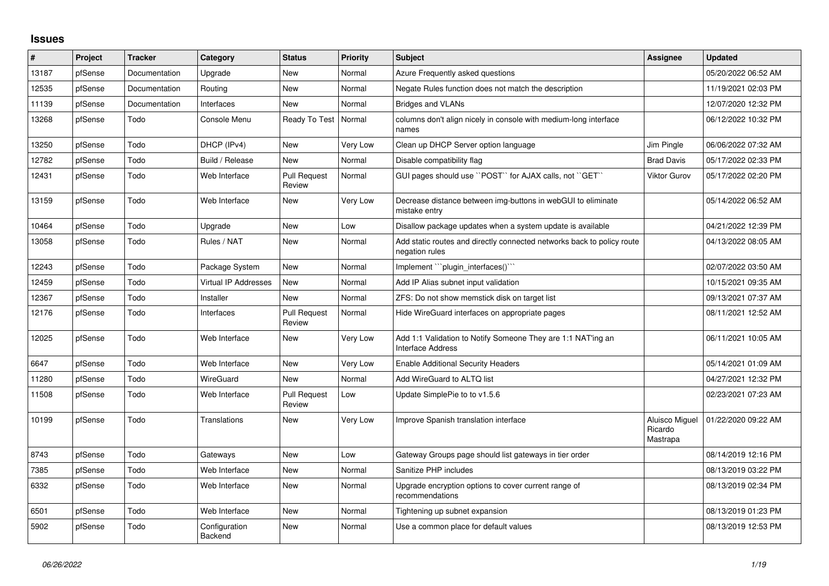## **Issues**

| $\vert$ # | Project | <b>Tracker</b> | Category                    | <b>Status</b>                 | Priority | <b>Subject</b>                                                                           | <b>Assignee</b>                              | <b>Updated</b>      |
|-----------|---------|----------------|-----------------------------|-------------------------------|----------|------------------------------------------------------------------------------------------|----------------------------------------------|---------------------|
| 13187     | pfSense | Documentation  | Upgrade                     | New                           | Normal   | Azure Frequently asked questions                                                         |                                              | 05/20/2022 06:52 AM |
| 12535     | pfSense | Documentation  | Routing                     | <b>New</b>                    | Normal   | Negate Rules function does not match the description                                     |                                              | 11/19/2021 02:03 PM |
| 11139     | pfSense | Documentation  | Interfaces                  | New                           | Normal   | <b>Bridges and VLANs</b>                                                                 |                                              | 12/07/2020 12:32 PM |
| 13268     | pfSense | Todo           | Console Menu                | Ready To Test                 | Normal   | columns don't align nicely in console with medium-long interface<br>names                |                                              | 06/12/2022 10:32 PM |
| 13250     | pfSense | Todo           | DHCP (IPv4)                 | New                           | Very Low | Clean up DHCP Server option language                                                     | Jim Pingle                                   | 06/06/2022 07:32 AM |
| 12782     | pfSense | Todo           | Build / Release             | New                           | Normal   | Disable compatibility flag                                                               | <b>Brad Davis</b>                            | 05/17/2022 02:33 PM |
| 12431     | pfSense | Todo           | Web Interface               | <b>Pull Request</b><br>Review | Normal   | GUI pages should use "POST" for AJAX calls, not "GET"                                    | Viktor Gurov                                 | 05/17/2022 02:20 PM |
| 13159     | pfSense | Todo           | Web Interface               | New                           | Very Low | Decrease distance between img-buttons in webGUI to eliminate<br>mistake entry            |                                              | 05/14/2022 06:52 AM |
| 10464     | pfSense | Todo           | Upgrade                     | <b>New</b>                    | Low      | Disallow package updates when a system update is available                               |                                              | 04/21/2022 12:39 PM |
| 13058     | pfSense | Todo           | Rules / NAT                 | New                           | Normal   | Add static routes and directly connected networks back to policy route<br>negation rules |                                              | 04/13/2022 08:05 AM |
| 12243     | pfSense | Todo           | Package System              | New                           | Normal   | Implement "``plugin_interfaces()``                                                       |                                              | 02/07/2022 03:50 AM |
| 12459     | pfSense | Todo           | <b>Virtual IP Addresses</b> | <b>New</b>                    | Normal   | Add IP Alias subnet input validation                                                     |                                              | 10/15/2021 09:35 AM |
| 12367     | pfSense | Todo           | Installer                   | New                           | Normal   | ZFS: Do not show memstick disk on target list                                            |                                              | 09/13/2021 07:37 AM |
| 12176     | pfSense | Todo           | Interfaces                  | <b>Pull Request</b><br>Review | Normal   | Hide WireGuard interfaces on appropriate pages                                           |                                              | 08/11/2021 12:52 AM |
| 12025     | pfSense | Todo           | Web Interface               | <b>New</b>                    | Very Low | Add 1:1 Validation to Notify Someone They are 1:1 NAT'ing an<br><b>Interface Address</b> |                                              | 06/11/2021 10:05 AM |
| 6647      | pfSense | Todo           | Web Interface               | New                           | Very Low | <b>Enable Additional Security Headers</b>                                                |                                              | 05/14/2021 01:09 AM |
| 11280     | pfSense | Todo           | WireGuard                   | New                           | Normal   | Add WireGuard to ALTQ list                                                               |                                              | 04/27/2021 12:32 PM |
| 11508     | pfSense | Todo           | Web Interface               | <b>Pull Request</b><br>Review | Low      | Update SimplePie to to v1.5.6                                                            |                                              | 02/23/2021 07:23 AM |
| 10199     | pfSense | Todo           | <b>Translations</b>         | New                           | Very Low | Improve Spanish translation interface                                                    | <b>Aluisco Miguel</b><br>Ricardo<br>Mastrapa | 01/22/2020 09:22 AM |
| 8743      | pfSense | Todo           | Gateways                    | <b>New</b>                    | Low      | Gateway Groups page should list gateways in tier order                                   |                                              | 08/14/2019 12:16 PM |
| 7385      | pfSense | Todo           | Web Interface               | <b>New</b>                    | Normal   | Sanitize PHP includes                                                                    |                                              | 08/13/2019 03:22 PM |
| 6332      | pfSense | Todo           | Web Interface               | New                           | Normal   | Upgrade encryption options to cover current range of<br>recommendations                  |                                              | 08/13/2019 02:34 PM |
| 6501      | pfSense | Todo           | Web Interface               | <b>New</b>                    | Normal   | Tightening up subnet expansion                                                           |                                              | 08/13/2019 01:23 PM |
| 5902      | pfSense | Todo           | Configuration<br>Backend    | New                           | Normal   | Use a common place for default values                                                    |                                              | 08/13/2019 12:53 PM |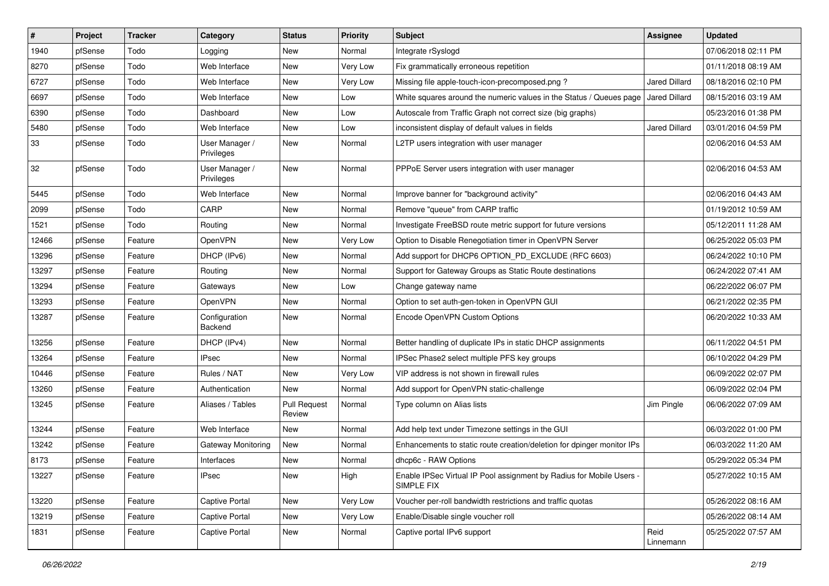| #     | Project | <b>Tracker</b> | Category                     | <b>Status</b>                 | <b>Priority</b> | <b>Subject</b>                                                                     | Assignee             | <b>Updated</b>      |
|-------|---------|----------------|------------------------------|-------------------------------|-----------------|------------------------------------------------------------------------------------|----------------------|---------------------|
| 1940  | pfSense | Todo           | Logging                      | New                           | Normal          | Integrate rSyslogd                                                                 |                      | 07/06/2018 02:11 PM |
| 8270  | pfSense | Todo           | Web Interface                | New                           | Very Low        | Fix grammatically erroneous repetition                                             |                      | 01/11/2018 08:19 AM |
| 6727  | pfSense | Todo           | Web Interface                | New                           | Very Low        | Missing file apple-touch-icon-precomposed.png?                                     | <b>Jared Dillard</b> | 08/18/2016 02:10 PM |
| 6697  | pfSense | Todo           | Web Interface                | New                           | Low             | White squares around the numeric values in the Status / Queues page                | <b>Jared Dillard</b> | 08/15/2016 03:19 AM |
| 6390  | pfSense | Todo           | Dashboard                    | <b>New</b>                    | Low             | Autoscale from Traffic Graph not correct size (big graphs)                         |                      | 05/23/2016 01:38 PM |
| 5480  | pfSense | Todo           | Web Interface                | New                           | Low             | inconsistent display of default values in fields                                   | <b>Jared Dillard</b> | 03/01/2016 04:59 PM |
| 33    | pfSense | Todo           | User Manager /<br>Privileges | New                           | Normal          | L2TP users integration with user manager                                           |                      | 02/06/2016 04:53 AM |
| 32    | pfSense | Todo           | User Manager /<br>Privileges | New                           | Normal          | PPPoE Server users integration with user manager                                   |                      | 02/06/2016 04:53 AM |
| 5445  | pfSense | Todo           | Web Interface                | <b>New</b>                    | Normal          | Improve banner for "background activity"                                           |                      | 02/06/2016 04:43 AM |
| 2099  | pfSense | Todo           | CARP                         | New                           | Normal          | Remove "queue" from CARP traffic                                                   |                      | 01/19/2012 10:59 AM |
| 1521  | pfSense | Todo           | Routing                      | New                           | Normal          | Investigate FreeBSD route metric support for future versions                       |                      | 05/12/2011 11:28 AM |
| 12466 | pfSense | Feature        | OpenVPN                      | New                           | Very Low        | Option to Disable Renegotiation timer in OpenVPN Server                            |                      | 06/25/2022 05:03 PM |
| 13296 | pfSense | Feature        | DHCP (IPv6)                  | New                           | Normal          | Add support for DHCP6 OPTION PD EXCLUDE (RFC 6603)                                 |                      | 06/24/2022 10:10 PM |
| 13297 | pfSense | Feature        | Routing                      | New                           | Normal          | Support for Gateway Groups as Static Route destinations                            |                      | 06/24/2022 07:41 AM |
| 13294 | pfSense | Feature        | Gateways                     | New                           | Low             | Change gateway name                                                                |                      | 06/22/2022 06:07 PM |
| 13293 | pfSense | Feature        | OpenVPN                      | New                           | Normal          | Option to set auth-gen-token in OpenVPN GUI                                        |                      | 06/21/2022 02:35 PM |
| 13287 | pfSense | Feature        | Configuration<br>Backend     | New                           | Normal          | Encode OpenVPN Custom Options                                                      |                      | 06/20/2022 10:33 AM |
| 13256 | pfSense | Feature        | DHCP (IPv4)                  | New                           | Normal          | Better handling of duplicate IPs in static DHCP assignments                        |                      | 06/11/2022 04:51 PM |
| 13264 | pfSense | Feature        | <b>IPsec</b>                 | New                           | Normal          | IPSec Phase2 select multiple PFS key groups                                        |                      | 06/10/2022 04:29 PM |
| 10446 | pfSense | Feature        | Rules / NAT                  | New                           | Very Low        | VIP address is not shown in firewall rules                                         |                      | 06/09/2022 02:07 PM |
| 13260 | pfSense | Feature        | Authentication               | <b>New</b>                    | Normal          | Add support for OpenVPN static-challenge                                           |                      | 06/09/2022 02:04 PM |
| 13245 | pfSense | Feature        | Aliases / Tables             | <b>Pull Request</b><br>Review | Normal          | Type column on Alias lists                                                         | Jim Pingle           | 06/06/2022 07:09 AM |
| 13244 | pfSense | Feature        | Web Interface                | New                           | Normal          | Add help text under Timezone settings in the GUI                                   |                      | 06/03/2022 01:00 PM |
| 13242 | pfSense | Feature        | Gateway Monitoring           | New                           | Normal          | Enhancements to static route creation/deletion for dpinger monitor IPs             |                      | 06/03/2022 11:20 AM |
| 8173  | pfSense | Feature        | Interfaces                   | New                           | Normal          | dhcp6c - RAW Options                                                               |                      | 05/29/2022 05:34 PM |
| 13227 | pfSense | Feature        | IPsec                        | New                           | High            | Enable IPSec Virtual IP Pool assignment by Radius for Mobile Users -<br>SIMPLE FIX |                      | 05/27/2022 10:15 AM |
| 13220 | pfSense | Feature        | Captive Portal               | New                           | Very Low        | Voucher per-roll bandwidth restrictions and traffic quotas                         |                      | 05/26/2022 08:16 AM |
| 13219 | pfSense | Feature        | Captive Portal               | New                           | Very Low        | Enable/Disable single voucher roll                                                 |                      | 05/26/2022 08:14 AM |
| 1831  | pfSense | Feature        | Captive Portal               | New                           | Normal          | Captive portal IPv6 support                                                        | Reid<br>Linnemann    | 05/25/2022 07:57 AM |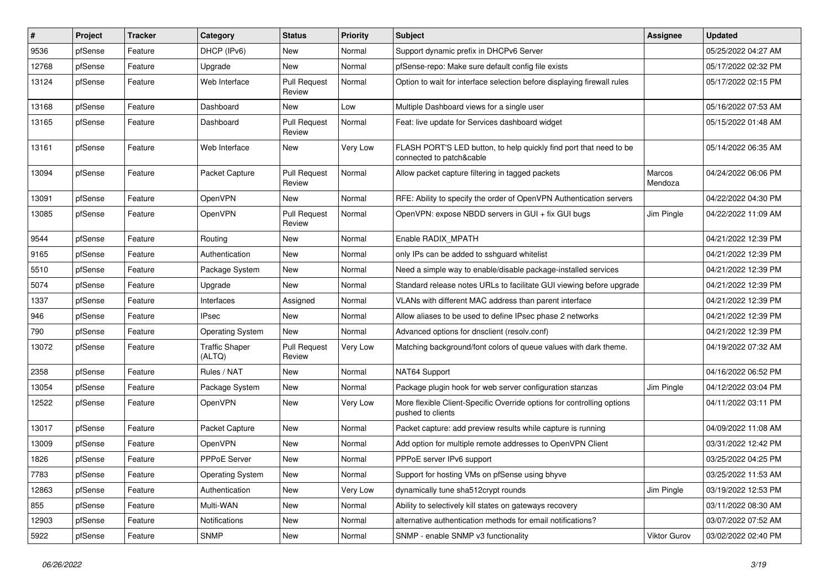| #     | Project | <b>Tracker</b> | Category                        | <b>Status</b>                 | <b>Priority</b> | Subject                                                                                        | <b>Assignee</b>   | <b>Updated</b>      |
|-------|---------|----------------|---------------------------------|-------------------------------|-----------------|------------------------------------------------------------------------------------------------|-------------------|---------------------|
| 9536  | pfSense | Feature        | DHCP (IPv6)                     | New                           | Normal          | Support dynamic prefix in DHCPv6 Server                                                        |                   | 05/25/2022 04:27 AM |
| 12768 | pfSense | Feature        | Upgrade                         | <b>New</b>                    | Normal          | pfSense-repo: Make sure default config file exists                                             |                   | 05/17/2022 02:32 PM |
| 13124 | pfSense | Feature        | Web Interface                   | <b>Pull Request</b><br>Review | Normal          | Option to wait for interface selection before displaying firewall rules                        |                   | 05/17/2022 02:15 PM |
| 13168 | pfSense | Feature        | Dashboard                       | <b>New</b>                    | Low             | Multiple Dashboard views for a single user                                                     |                   | 05/16/2022 07:53 AM |
| 13165 | pfSense | Feature        | Dashboard                       | <b>Pull Request</b><br>Review | Normal          | Feat: live update for Services dashboard widget                                                |                   | 05/15/2022 01:48 AM |
| 13161 | pfSense | Feature        | Web Interface                   | <b>New</b>                    | Very Low        | FLASH PORT'S LED button, to help quickly find port that need to be<br>connected to patch&cable |                   | 05/14/2022 06:35 AM |
| 13094 | pfSense | Feature        | Packet Capture                  | <b>Pull Request</b><br>Review | Normal          | Allow packet capture filtering in tagged packets                                               | Marcos<br>Mendoza | 04/24/2022 06:06 PM |
| 13091 | pfSense | Feature        | OpenVPN                         | New                           | Normal          | RFE: Ability to specify the order of OpenVPN Authentication servers                            |                   | 04/22/2022 04:30 PM |
| 13085 | pfSense | Feature        | OpenVPN                         | <b>Pull Request</b><br>Review | Normal          | OpenVPN: expose NBDD servers in GUI + fix GUI bugs                                             | Jim Pingle        | 04/22/2022 11:09 AM |
| 9544  | pfSense | Feature        | Routing                         | New                           | Normal          | Enable RADIX_MPATH                                                                             |                   | 04/21/2022 12:39 PM |
| 9165  | pfSense | Feature        | Authentication                  | <b>New</b>                    | Normal          | only IPs can be added to sshguard whitelist                                                    |                   | 04/21/2022 12:39 PM |
| 5510  | pfSense | Feature        | Package System                  | New                           | Normal          | Need a simple way to enable/disable package-installed services                                 |                   | 04/21/2022 12:39 PM |
| 5074  | pfSense | Feature        | Upgrade                         | New                           | Normal          | Standard release notes URLs to facilitate GUI viewing before upgrade                           |                   | 04/21/2022 12:39 PM |
| 1337  | pfSense | Feature        | <b>Interfaces</b>               | Assigned                      | Normal          | VLANs with different MAC address than parent interface                                         |                   | 04/21/2022 12:39 PM |
| 946   | pfSense | Feature        | <b>IPsec</b>                    | New                           | Normal          | Allow aliases to be used to define IPsec phase 2 networks                                      |                   | 04/21/2022 12:39 PM |
| 790   | pfSense | Feature        | <b>Operating System</b>         | <b>New</b>                    | Normal          | Advanced options for dnsclient (resolv.conf)                                                   |                   | 04/21/2022 12:39 PM |
| 13072 | pfSense | Feature        | <b>Traffic Shaper</b><br>(ALTQ) | <b>Pull Request</b><br>Review | Very Low        | Matching background/font colors of queue values with dark theme.                               |                   | 04/19/2022 07:32 AM |
| 2358  | pfSense | Feature        | Rules / NAT                     | <b>New</b>                    | Normal          | NAT64 Support                                                                                  |                   | 04/16/2022 06:52 PM |
| 13054 | pfSense | Feature        | Package System                  | New                           | Normal          | Package plugin hook for web server configuration stanzas                                       | Jim Pingle        | 04/12/2022 03:04 PM |
| 12522 | pfSense | Feature        | OpenVPN                         | <b>New</b>                    | Very Low        | More flexible Client-Specific Override options for controlling options<br>pushed to clients    |                   | 04/11/2022 03:11 PM |
| 13017 | pfSense | Feature        | Packet Capture                  | <b>New</b>                    | Normal          | Packet capture: add preview results while capture is running                                   |                   | 04/09/2022 11:08 AM |
| 13009 | pfSense | Feature        | OpenVPN                         | <b>New</b>                    | Normal          | Add option for multiple remote addresses to OpenVPN Client                                     |                   | 03/31/2022 12:42 PM |
| 1826  | pfSense | Feature        | PPPoE Server                    | New                           | Normal          | PPPoE server IPv6 support                                                                      |                   | 03/25/2022 04:25 PM |
| 7783  | pfSense | Feature        | <b>Operating System</b>         | New                           | Normal          | Support for hosting VMs on pfSense using bhyve                                                 |                   | 03/25/2022 11:53 AM |
| 12863 | pfSense | Feature        | Authentication                  | New                           | Very Low        | dynamically tune sha512crypt rounds                                                            | Jim Pingle        | 03/19/2022 12:53 PM |
| 855   | pfSense | Feature        | Multi-WAN                       | New                           | Normal          | Ability to selectively kill states on gateways recovery                                        |                   | 03/11/2022 08:30 AM |
| 12903 | pfSense | Feature        | Notifications                   | New                           | Normal          | alternative authentication methods for email notifications?                                    |                   | 03/07/2022 07:52 AM |
| 5922  | pfSense | Feature        | <b>SNMP</b>                     | New                           | Normal          | SNMP - enable SNMP v3 functionality                                                            | Viktor Gurov      | 03/02/2022 02:40 PM |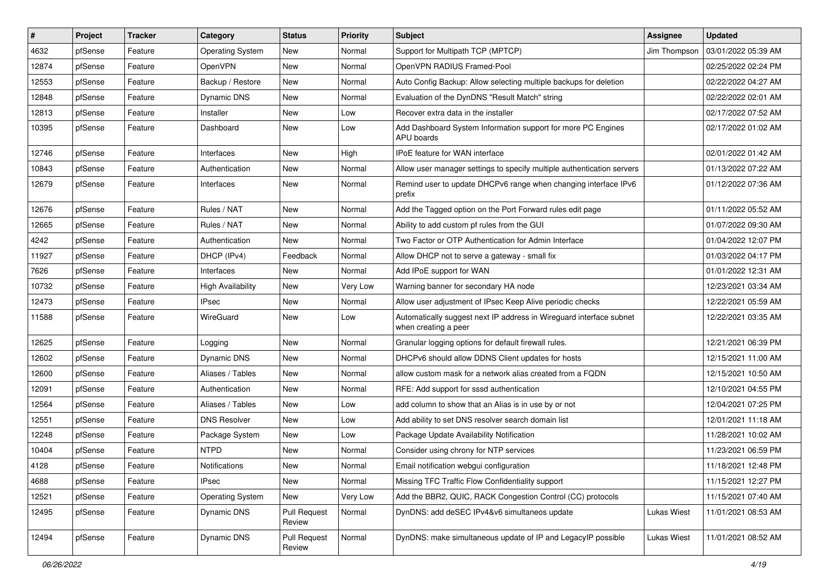| ∦     | Project | <b>Tracker</b> | Category                | <b>Status</b>                 | <b>Priority</b> | Subject                                                                                     | Assignee     | <b>Updated</b>      |
|-------|---------|----------------|-------------------------|-------------------------------|-----------------|---------------------------------------------------------------------------------------------|--------------|---------------------|
| 4632  | pfSense | Feature        | <b>Operating System</b> | New                           | Normal          | Support for Multipath TCP (MPTCP)                                                           | Jim Thompson | 03/01/2022 05:39 AM |
| 12874 | pfSense | Feature        | OpenVPN                 | New                           | Normal          | OpenVPN RADIUS Framed-Pool                                                                  |              | 02/25/2022 02:24 PM |
| 12553 | pfSense | Feature        | Backup / Restore        | New                           | Normal          | Auto Config Backup: Allow selecting multiple backups for deletion                           |              | 02/22/2022 04:27 AM |
| 12848 | pfSense | Feature        | Dynamic DNS             | New                           | Normal          | Evaluation of the DynDNS "Result Match" string                                              |              | 02/22/2022 02:01 AM |
| 12813 | pfSense | Feature        | Installer               | New                           | Low             | Recover extra data in the installer                                                         |              | 02/17/2022 07:52 AM |
| 10395 | pfSense | Feature        | Dashboard               | New                           | Low             | Add Dashboard System Information support for more PC Engines<br><b>APU</b> boards           |              | 02/17/2022 01:02 AM |
| 12746 | pfSense | Feature        | Interfaces              | New                           | High            | IPoE feature for WAN interface                                                              |              | 02/01/2022 01:42 AM |
| 10843 | pfSense | Feature        | Authentication          | New                           | Normal          | Allow user manager settings to specify multiple authentication servers                      |              | 01/13/2022 07:22 AM |
| 12679 | pfSense | Feature        | Interfaces              | New                           | Normal          | Remind user to update DHCPv6 range when changing interface IPv6<br>prefix                   |              | 01/12/2022 07:36 AM |
| 12676 | pfSense | Feature        | Rules / NAT             | New                           | Normal          | Add the Tagged option on the Port Forward rules edit page                                   |              | 01/11/2022 05:52 AM |
| 12665 | pfSense | Feature        | Rules / NAT             | New                           | Normal          | Ability to add custom pf rules from the GUI                                                 |              | 01/07/2022 09:30 AM |
| 4242  | pfSense | Feature        | Authentication          | New                           | Normal          | Two Factor or OTP Authentication for Admin Interface                                        |              | 01/04/2022 12:07 PM |
| 11927 | pfSense | Feature        | DHCP (IPv4)             | Feedback                      | Normal          | Allow DHCP not to serve a gateway - small fix                                               |              | 01/03/2022 04:17 PM |
| 7626  | pfSense | Feature        | Interfaces              | <b>New</b>                    | Normal          | Add IPoE support for WAN                                                                    |              | 01/01/2022 12:31 AM |
| 10732 | pfSense | Feature        | High Availability       | New                           | Very Low        | Warning banner for secondary HA node                                                        |              | 12/23/2021 03:34 AM |
| 12473 | pfSense | Feature        | <b>IPsec</b>            | New                           | Normal          | Allow user adjustment of IPsec Keep Alive periodic checks                                   |              | 12/22/2021 05:59 AM |
| 11588 | pfSense | Feature        | WireGuard               | New                           | Low             | Automatically suggest next IP address in Wireguard interface subnet<br>when creating a peer |              | 12/22/2021 03:35 AM |
| 12625 | pfSense | Feature        | Logging                 | New                           | Normal          | Granular logging options for default firewall rules.                                        |              | 12/21/2021 06:39 PM |
| 12602 | pfSense | Feature        | Dynamic DNS             | New                           | Normal          | DHCPv6 should allow DDNS Client updates for hosts                                           |              | 12/15/2021 11:00 AM |
| 12600 | pfSense | Feature        | Aliases / Tables        | New                           | Normal          | allow custom mask for a network alias created from a FQDN                                   |              | 12/15/2021 10:50 AM |
| 12091 | pfSense | Feature        | Authentication          | <b>New</b>                    | Normal          | RFE: Add support for sssd authentication                                                    |              | 12/10/2021 04:55 PM |
| 12564 | pfSense | Feature        | Aliases / Tables        | New                           | Low             | add column to show that an Alias is in use by or not                                        |              | 12/04/2021 07:25 PM |
| 12551 | pfSense | Feature        | <b>DNS Resolver</b>     | New                           | Low             | Add ability to set DNS resolver search domain list                                          |              | 12/01/2021 11:18 AM |
| 12248 | pfSense | Feature        | Package System          | New                           | Low             | Package Update Availability Notification                                                    |              | 11/28/2021 10:02 AM |
| 10404 | pfSense | Feature        | <b>NTPD</b>             | New                           | Normal          | Consider using chrony for NTP services                                                      |              | 11/23/2021 06:59 PM |
| 4128  | pfSense | Feature        | Notifications           | New                           | Normal          | Email notification webgui configuration                                                     |              | 11/18/2021 12:48 PM |
| 4688  | pfSense | Feature        | IPsec                   | New                           | Normal          | Missing TFC Traffic Flow Confidentiality support                                            |              | 11/15/2021 12:27 PM |
| 12521 | pfSense | Feature        | <b>Operating System</b> | New                           | Very Low        | Add the BBR2, QUIC, RACK Congestion Control (CC) protocols                                  |              | 11/15/2021 07:40 AM |
| 12495 | pfSense | Feature        | Dynamic DNS             | <b>Pull Request</b><br>Review | Normal          | DynDNS: add deSEC IPv4&v6 simultaneos update                                                | Lukas Wiest  | 11/01/2021 08:53 AM |
| 12494 | pfSense | Feature        | Dynamic DNS             | <b>Pull Request</b><br>Review | Normal          | DynDNS: make simultaneous update of IP and LegacyIP possible                                | Lukas Wiest  | 11/01/2021 08:52 AM |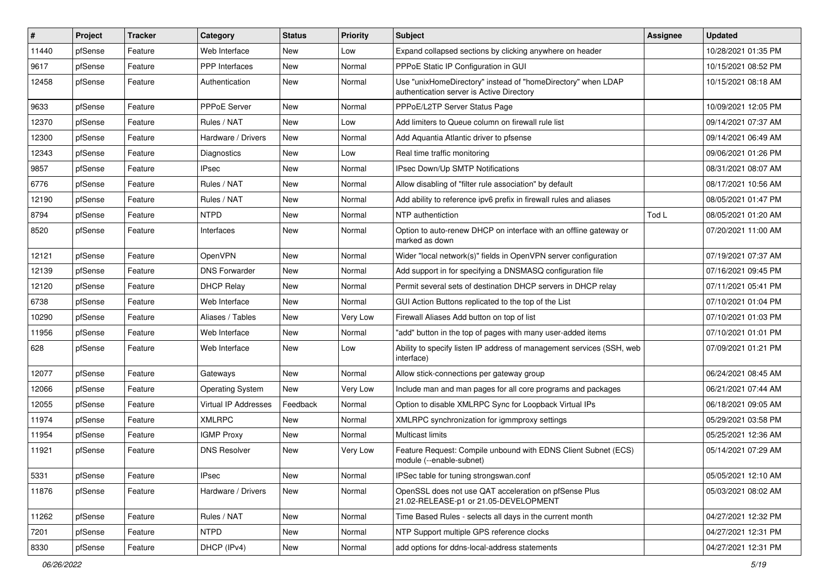| $\vert$ # | Project | <b>Tracker</b> | Category                | <b>Status</b> | <b>Priority</b> | <b>Subject</b>                                                                                            | <b>Assignee</b> | <b>Updated</b>      |
|-----------|---------|----------------|-------------------------|---------------|-----------------|-----------------------------------------------------------------------------------------------------------|-----------------|---------------------|
| 11440     | pfSense | Feature        | Web Interface           | New           | Low             | Expand collapsed sections by clicking anywhere on header                                                  |                 | 10/28/2021 01:35 PM |
| 9617      | pfSense | Feature        | <b>PPP</b> Interfaces   | <b>New</b>    | Normal          | PPPoE Static IP Configuration in GUI                                                                      |                 | 10/15/2021 08:52 PM |
| 12458     | pfSense | Feature        | Authentication          | New           | Normal          | Use "unixHomeDirectory" instead of "homeDirectory" when LDAP<br>authentication server is Active Directory |                 | 10/15/2021 08:18 AM |
| 9633      | pfSense | Feature        | PPPoE Server            | <b>New</b>    | Normal          | PPPoE/L2TP Server Status Page                                                                             |                 | 10/09/2021 12:05 PM |
| 12370     | pfSense | Feature        | Rules / NAT             | New           | Low             | Add limiters to Queue column on firewall rule list                                                        |                 | 09/14/2021 07:37 AM |
| 12300     | pfSense | Feature        | Hardware / Drivers      | New           | Normal          | Add Aquantia Atlantic driver to pfsense                                                                   |                 | 09/14/2021 06:49 AM |
| 12343     | pfSense | Feature        | Diagnostics             | <b>New</b>    | Low             | Real time traffic monitoring                                                                              |                 | 09/06/2021 01:26 PM |
| 9857      | pfSense | Feature        | <b>IPsec</b>            | New           | Normal          | IPsec Down/Up SMTP Notifications                                                                          |                 | 08/31/2021 08:07 AM |
| 6776      | pfSense | Feature        | Rules / NAT             | <b>New</b>    | Normal          | Allow disabling of "filter rule association" by default                                                   |                 | 08/17/2021 10:56 AM |
| 12190     | pfSense | Feature        | Rules / NAT             | New           | Normal          | Add ability to reference ipv6 prefix in firewall rules and aliases                                        |                 | 08/05/2021 01:47 PM |
| 8794      | pfSense | Feature        | <b>NTPD</b>             | New           | Normal          | NTP authentiction                                                                                         | Tod L           | 08/05/2021 01:20 AM |
| 8520      | pfSense | Feature        | Interfaces              | <b>New</b>    | Normal          | Option to auto-renew DHCP on interface with an offline gateway or<br>marked as down                       |                 | 07/20/2021 11:00 AM |
| 12121     | pfSense | Feature        | OpenVPN                 | <b>New</b>    | Normal          | Wider "local network(s)" fields in OpenVPN server configuration                                           |                 | 07/19/2021 07:37 AM |
| 12139     | pfSense | Feature        | <b>DNS Forwarder</b>    | <b>New</b>    | Normal          | Add support in for specifying a DNSMASQ configuration file                                                |                 | 07/16/2021 09:45 PM |
| 12120     | pfSense | Feature        | <b>DHCP Relay</b>       | <b>New</b>    | Normal          | Permit several sets of destination DHCP servers in DHCP relay                                             |                 | 07/11/2021 05:41 PM |
| 6738      | pfSense | Feature        | Web Interface           | <b>New</b>    | Normal          | GUI Action Buttons replicated to the top of the List                                                      |                 | 07/10/2021 01:04 PM |
| 10290     | pfSense | Feature        | Aliases / Tables        | New           | Very Low        | Firewall Aliases Add button on top of list                                                                |                 | 07/10/2021 01:03 PM |
| 11956     | pfSense | Feature        | Web Interface           | New           | Normal          | "add" button in the top of pages with many user-added items                                               |                 | 07/10/2021 01:01 PM |
| 628       | pfSense | Feature        | Web Interface           | <b>New</b>    | Low             | Ability to specify listen IP address of management services (SSH, web<br>interface)                       |                 | 07/09/2021 01:21 PM |
| 12077     | pfSense | Feature        | Gateways                | <b>New</b>    | Normal          | Allow stick-connections per gateway group                                                                 |                 | 06/24/2021 08:45 AM |
| 12066     | pfSense | Feature        | <b>Operating System</b> | New           | Very Low        | Include man and man pages for all core programs and packages                                              |                 | 06/21/2021 07:44 AM |
| 12055     | pfSense | Feature        | Virtual IP Addresses    | Feedback      | Normal          | Option to disable XMLRPC Sync for Loopback Virtual IPs                                                    |                 | 06/18/2021 09:05 AM |
| 11974     | pfSense | Feature        | <b>XMLRPC</b>           | <b>New</b>    | Normal          | XMLRPC synchronization for igmmproxy settings                                                             |                 | 05/29/2021 03:58 PM |
| 11954     | pfSense | Feature        | <b>IGMP Proxy</b>       | New           | Normal          | Multicast limits                                                                                          |                 | 05/25/2021 12:36 AM |
| 11921     | pfSense | Feature        | <b>DNS Resolver</b>     | New           | Very Low        | Feature Request: Compile unbound with EDNS Client Subnet (ECS)<br>module (--enable-subnet)                |                 | 05/14/2021 07:29 AM |
| 5331      | pfSense | Feature        | <b>IPsec</b>            | New           | Normal          | IPSec table for tuning strongswan.conf                                                                    |                 | 05/05/2021 12:10 AM |
| 11876     | pfSense | Feature        | Hardware / Drivers      | New           | Normal          | OpenSSL does not use QAT acceleration on pfSense Plus<br>21.02-RELEASE-p1 or 21.05-DEVELOPMENT            |                 | 05/03/2021 08:02 AM |
| 11262     | pfSense | Feature        | Rules / NAT             | New           | Normal          | Time Based Rules - selects all days in the current month                                                  |                 | 04/27/2021 12:32 PM |
| 7201      | pfSense | Feature        | <b>NTPD</b>             | New           | Normal          | NTP Support multiple GPS reference clocks                                                                 |                 | 04/27/2021 12:31 PM |
| 8330      | pfSense | Feature        | DHCP (IPv4)             | New           | Normal          | add options for ddns-local-address statements                                                             |                 | 04/27/2021 12:31 PM |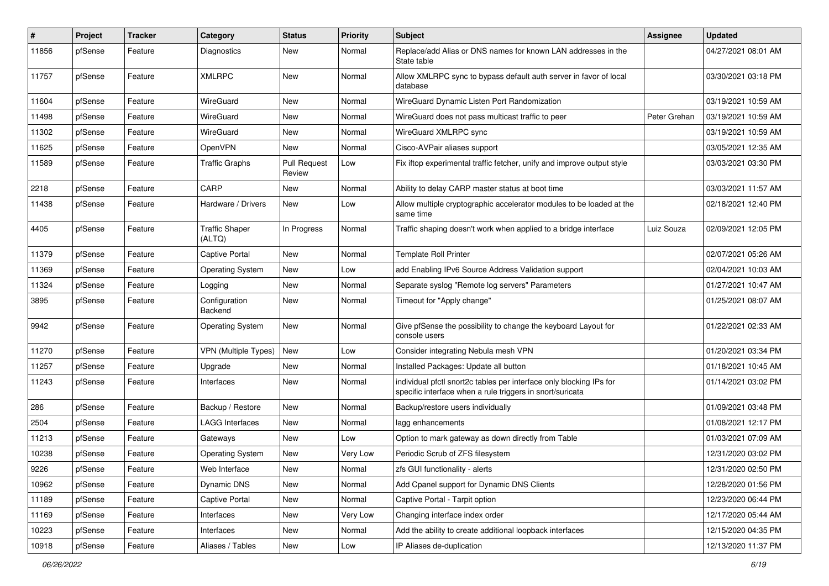| #     | Project | <b>Tracker</b> | Category                        | <b>Status</b>                 | <b>Priority</b> | <b>Subject</b>                                                                                                                   | <b>Assignee</b> | <b>Updated</b>      |
|-------|---------|----------------|---------------------------------|-------------------------------|-----------------|----------------------------------------------------------------------------------------------------------------------------------|-----------------|---------------------|
| 11856 | pfSense | Feature        | Diagnostics                     | New                           | Normal          | Replace/add Alias or DNS names for known LAN addresses in the<br>State table                                                     |                 | 04/27/2021 08:01 AM |
| 11757 | pfSense | Feature        | <b>XMLRPC</b>                   | New                           | Normal          | Allow XMLRPC sync to bypass default auth server in favor of local<br>database                                                    |                 | 03/30/2021 03:18 PM |
| 11604 | pfSense | Feature        | WireGuard                       | <b>New</b>                    | Normal          | WireGuard Dynamic Listen Port Randomization                                                                                      |                 | 03/19/2021 10:59 AM |
| 11498 | pfSense | Feature        | WireGuard                       | New                           | Normal          | WireGuard does not pass multicast traffic to peer                                                                                | Peter Grehan    | 03/19/2021 10:59 AM |
| 11302 | pfSense | Feature        | WireGuard                       | New                           | Normal          | WireGuard XMLRPC sync                                                                                                            |                 | 03/19/2021 10:59 AM |
| 11625 | pfSense | Feature        | OpenVPN                         | New                           | Normal          | Cisco-AVPair aliases support                                                                                                     |                 | 03/05/2021 12:35 AM |
| 11589 | pfSense | Feature        | <b>Traffic Graphs</b>           | <b>Pull Request</b><br>Review | Low             | Fix iftop experimental traffic fetcher, unify and improve output style                                                           |                 | 03/03/2021 03:30 PM |
| 2218  | pfSense | Feature        | CARP                            | New                           | Normal          | Ability to delay CARP master status at boot time                                                                                 |                 | 03/03/2021 11:57 AM |
| 11438 | pfSense | Feature        | Hardware / Drivers              | New                           | Low             | Allow multiple cryptographic accelerator modules to be loaded at the<br>same time                                                |                 | 02/18/2021 12:40 PM |
| 4405  | pfSense | Feature        | <b>Traffic Shaper</b><br>(ALTQ) | In Progress                   | Normal          | Traffic shaping doesn't work when applied to a bridge interface                                                                  | Luiz Souza      | 02/09/2021 12:05 PM |
| 11379 | pfSense | Feature        | Captive Portal                  | <b>New</b>                    | Normal          | <b>Template Roll Printer</b>                                                                                                     |                 | 02/07/2021 05:26 AM |
| 11369 | pfSense | Feature        | <b>Operating System</b>         | New                           | Low             | add Enabling IPv6 Source Address Validation support                                                                              |                 | 02/04/2021 10:03 AM |
| 11324 | pfSense | Feature        | Logging                         | <b>New</b>                    | Normal          | Separate syslog "Remote log servers" Parameters                                                                                  |                 | 01/27/2021 10:47 AM |
| 3895  | pfSense | Feature        | Configuration<br>Backend        | New                           | Normal          | Timeout for "Apply change"                                                                                                       |                 | 01/25/2021 08:07 AM |
| 9942  | pfSense | Feature        | <b>Operating System</b>         | New                           | Normal          | Give pfSense the possibility to change the keyboard Layout for<br>console users                                                  |                 | 01/22/2021 02:33 AM |
| 11270 | pfSense | Feature        | <b>VPN (Multiple Types)</b>     | New                           | Low             | Consider integrating Nebula mesh VPN                                                                                             |                 | 01/20/2021 03:34 PM |
| 11257 | pfSense | Feature        | Upgrade                         | New                           | Normal          | Installed Packages: Update all button                                                                                            |                 | 01/18/2021 10:45 AM |
| 11243 | pfSense | Feature        | Interfaces                      | New                           | Normal          | individual pfctl snort2c tables per interface only blocking IPs for<br>specific interface when a rule triggers in snort/suricata |                 | 01/14/2021 03:02 PM |
| 286   | pfSense | Feature        | Backup / Restore                | New                           | Normal          | Backup/restore users individually                                                                                                |                 | 01/09/2021 03:48 PM |
| 2504  | pfSense | Feature        | LAGG Interfaces                 | New                           | Normal          | lagg enhancements                                                                                                                |                 | 01/08/2021 12:17 PM |
| 11213 | pfSense | Feature        | Gateways                        | New                           | Low             | Option to mark gateway as down directly from Table                                                                               |                 | 01/03/2021 07:09 AM |
| 10238 | pfSense | Feature        | <b>Operating System</b>         | New                           | Very Low        | Periodic Scrub of ZFS filesystem                                                                                                 |                 | 12/31/2020 03:02 PM |
| 9226  | pfSense | Feature        | Web Interface                   | New                           | Normal          | zfs GUI functionality - alerts                                                                                                   |                 | 12/31/2020 02:50 PM |
| 10962 | pfSense | Feature        | Dynamic DNS                     | New                           | Normal          | Add Cpanel support for Dynamic DNS Clients                                                                                       |                 | 12/28/2020 01:56 PM |
| 11189 | pfSense | Feature        | Captive Portal                  | New                           | Normal          | Captive Portal - Tarpit option                                                                                                   |                 | 12/23/2020 06:44 PM |
| 11169 | pfSense | Feature        | Interfaces                      | New                           | Very Low        | Changing interface index order                                                                                                   |                 | 12/17/2020 05:44 AM |
| 10223 | pfSense | Feature        | Interfaces                      | New                           | Normal          | Add the ability to create additional loopback interfaces                                                                         |                 | 12/15/2020 04:35 PM |
| 10918 | pfSense | Feature        | Aliases / Tables                | New                           | Low             | IP Aliases de-duplication                                                                                                        |                 | 12/13/2020 11:37 PM |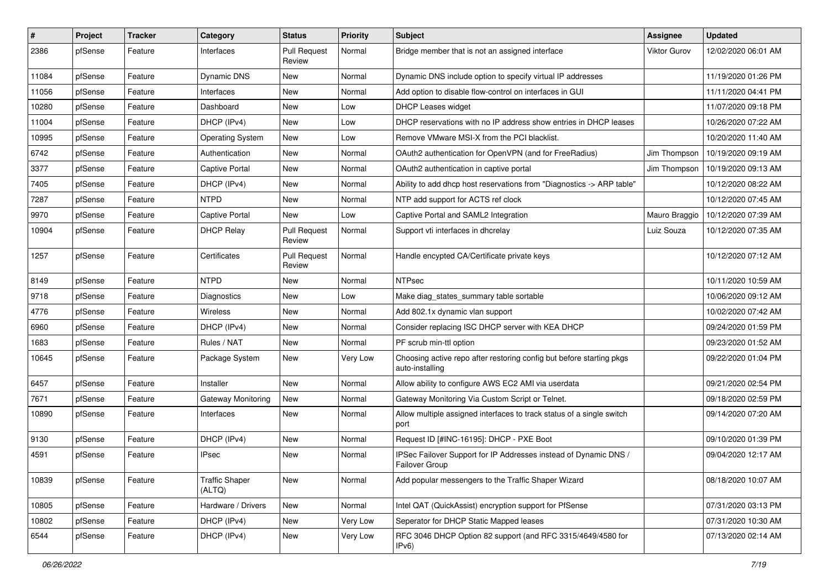| #     | Project | <b>Tracker</b> | Category                        | <b>Status</b>                 | <b>Priority</b> | Subject                                                                                 | <b>Assignee</b> | <b>Updated</b>      |
|-------|---------|----------------|---------------------------------|-------------------------------|-----------------|-----------------------------------------------------------------------------------------|-----------------|---------------------|
| 2386  | pfSense | Feature        | Interfaces                      | <b>Pull Request</b><br>Review | Normal          | Bridge member that is not an assigned interface                                         | Viktor Gurov    | 12/02/2020 06:01 AM |
| 11084 | pfSense | Feature        | Dynamic DNS                     | New                           | Normal          | Dynamic DNS include option to specify virtual IP addresses                              |                 | 11/19/2020 01:26 PM |
| 11056 | pfSense | Feature        | Interfaces                      | New                           | Normal          | Add option to disable flow-control on interfaces in GUI                                 |                 | 11/11/2020 04:41 PM |
| 10280 | pfSense | Feature        | Dashboard                       | <b>New</b>                    | Low             | <b>DHCP Leases widget</b>                                                               |                 | 11/07/2020 09:18 PM |
| 11004 | pfSense | Feature        | DHCP (IPv4)                     | New                           | Low             | DHCP reservations with no IP address show entries in DHCP leases                        |                 | 10/26/2020 07:22 AM |
| 10995 | pfSense | Feature        | <b>Operating System</b>         | New                           | Low             | Remove VMware MSI-X from the PCI blacklist.                                             |                 | 10/20/2020 11:40 AM |
| 6742  | pfSense | Feature        | Authentication                  | New                           | Normal          | OAuth2 authentication for OpenVPN (and for FreeRadius)                                  | Jim Thompson    | 10/19/2020 09:19 AM |
| 3377  | pfSense | Feature        | Captive Portal                  | <b>New</b>                    | Normal          | OAuth2 authentication in captive portal                                                 | Jim Thompson    | 10/19/2020 09:13 AM |
| 7405  | pfSense | Feature        | DHCP (IPv4)                     | <b>New</b>                    | Normal          | Ability to add dhcp host reservations from "Diagnostics -> ARP table"                   |                 | 10/12/2020 08:22 AM |
| 7287  | pfSense | Feature        | <b>NTPD</b>                     | New                           | Normal          | NTP add support for ACTS ref clock                                                      |                 | 10/12/2020 07:45 AM |
| 9970  | pfSense | Feature        | <b>Captive Portal</b>           | New                           | Low             | Captive Portal and SAML2 Integration                                                    | Mauro Braggio   | 10/12/2020 07:39 AM |
| 10904 | pfSense | Feature        | <b>DHCP Relay</b>               | <b>Pull Request</b><br>Review | Normal          | Support vti interfaces in dhcrelay                                                      | Luiz Souza      | 10/12/2020 07:35 AM |
| 1257  | pfSense | Feature        | Certificates                    | <b>Pull Request</b><br>Review | Normal          | Handle encypted CA/Certificate private keys                                             |                 | 10/12/2020 07:12 AM |
| 8149  | pfSense | Feature        | <b>NTPD</b>                     | <b>New</b>                    | Normal          | <b>NTPsec</b>                                                                           |                 | 10/11/2020 10:59 AM |
| 9718  | pfSense | Feature        | Diagnostics                     | New                           | Low             | Make diag_states_summary table sortable                                                 |                 | 10/06/2020 09:12 AM |
| 4776  | pfSense | Feature        | <b>Wireless</b>                 | New                           | Normal          | Add 802.1x dynamic vlan support                                                         |                 | 10/02/2020 07:42 AM |
| 6960  | pfSense | Feature        | DHCP (IPv4)                     | New                           | Normal          | Consider replacing ISC DHCP server with KEA DHCP                                        |                 | 09/24/2020 01:59 PM |
| 1683  | pfSense | Feature        | Rules / NAT                     | New                           | Normal          | PF scrub min-ttl option                                                                 |                 | 09/23/2020 01:52 AM |
| 10645 | pfSense | Feature        | Package System                  | New                           | Very Low        | Choosing active repo after restoring config but before starting pkgs<br>auto-installing |                 | 09/22/2020 01:04 PM |
| 6457  | pfSense | Feature        | Installer                       | New                           | Normal          | Allow ability to configure AWS EC2 AMI via userdata                                     |                 | 09/21/2020 02:54 PM |
| 7671  | pfSense | Feature        | Gateway Monitoring              | New                           | Normal          | Gateway Monitoring Via Custom Script or Telnet.                                         |                 | 09/18/2020 02:59 PM |
| 10890 | pfSense | Feature        | Interfaces                      | <b>New</b>                    | Normal          | Allow multiple assigned interfaces to track status of a single switch<br>port           |                 | 09/14/2020 07:20 AM |
| 9130  | pfSense | Feature        | DHCP (IPv4)                     | New                           | Normal          | Request ID [#INC-16195]: DHCP - PXE Boot                                                |                 | 09/10/2020 01:39 PM |
| 4591  | pfSense | Feature        | <b>IPsec</b>                    | New                           | Normal          | IPSec Failover Support for IP Addresses instead of Dynamic DNS /<br>Failover Group      |                 | 09/04/2020 12:17 AM |
| 10839 | pfSense | Feature        | <b>Traffic Shaper</b><br>(ALTQ) | New                           | Normal          | Add popular messengers to the Traffic Shaper Wizard                                     |                 | 08/18/2020 10:07 AM |
| 10805 | pfSense | Feature        | Hardware / Drivers              | New                           | Normal          | Intel QAT (QuickAssist) encryption support for PfSense                                  |                 | 07/31/2020 03:13 PM |
| 10802 | pfSense | Feature        | DHCP (IPv4)                     | New                           | Very Low        | Seperator for DHCP Static Mapped leases                                                 |                 | 07/31/2020 10:30 AM |
| 6544  | pfSense | Feature        | DHCP (IPv4)                     | New                           | Very Low        | RFC 3046 DHCP Option 82 support (and RFC 3315/4649/4580 for<br>IPv6)                    |                 | 07/13/2020 02:14 AM |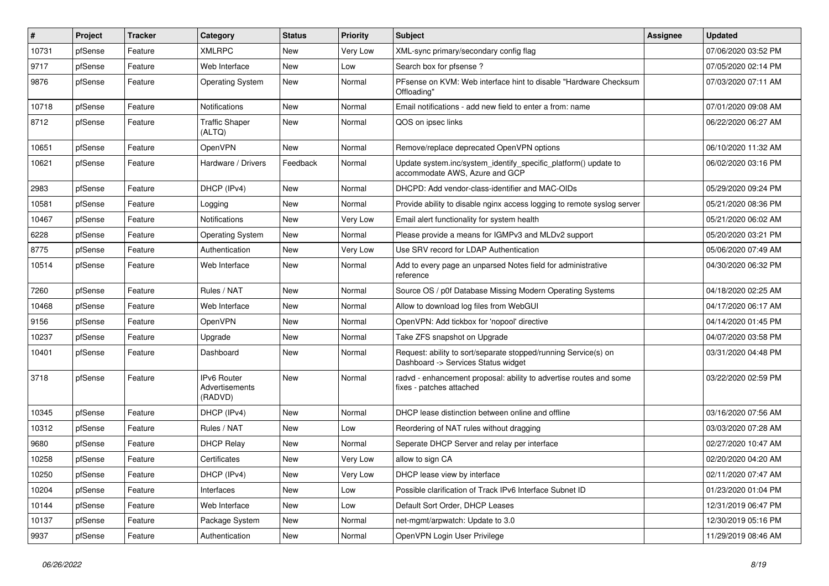| $\vert$ # | Project | <b>Tracker</b> | Category                                        | <b>Status</b> | <b>Priority</b> | Subject                                                                                                | <b>Assignee</b> | <b>Updated</b>      |
|-----------|---------|----------------|-------------------------------------------------|---------------|-----------------|--------------------------------------------------------------------------------------------------------|-----------------|---------------------|
| 10731     | pfSense | Feature        | <b>XMLRPC</b>                                   | New           | Very Low        | XML-sync primary/secondary config flag                                                                 |                 | 07/06/2020 03:52 PM |
| 9717      | pfSense | Feature        | Web Interface                                   | <b>New</b>    | Low             | Search box for pfsense?                                                                                |                 | 07/05/2020 02:14 PM |
| 9876      | pfSense | Feature        | <b>Operating System</b>                         | New           | Normal          | PFsense on KVM: Web interface hint to disable "Hardware Checksum<br>Offloading"                        |                 | 07/03/2020 07:11 AM |
| 10718     | pfSense | Feature        | Notifications                                   | <b>New</b>    | Normal          | Email notifications - add new field to enter a from: name                                              |                 | 07/01/2020 09:08 AM |
| 8712      | pfSense | Feature        | <b>Traffic Shaper</b><br>(ALTQ)                 | New           | Normal          | QOS on ipsec links                                                                                     |                 | 06/22/2020 06:27 AM |
| 10651     | pfSense | Feature        | OpenVPN                                         | <b>New</b>    | Normal          | Remove/replace deprecated OpenVPN options                                                              |                 | 06/10/2020 11:32 AM |
| 10621     | pfSense | Feature        | Hardware / Drivers                              | Feedback      | Normal          | Update system.inc/system_identify_specific_platform() update to<br>accommodate AWS, Azure and GCP      |                 | 06/02/2020 03:16 PM |
| 2983      | pfSense | Feature        | DHCP (IPv4)                                     | New           | Normal          | DHCPD: Add vendor-class-identifier and MAC-OIDs                                                        |                 | 05/29/2020 09:24 PM |
| 10581     | pfSense | Feature        | Logging                                         | <b>New</b>    | Normal          | Provide ability to disable nginx access logging to remote syslog server                                |                 | 05/21/2020 08:36 PM |
| 10467     | pfSense | Feature        | Notifications                                   | <b>New</b>    | Very Low        | Email alert functionality for system health                                                            |                 | 05/21/2020 06:02 AM |
| 6228      | pfSense | Feature        | <b>Operating System</b>                         | New           | Normal          | Please provide a means for IGMPv3 and MLDv2 support                                                    |                 | 05/20/2020 03:21 PM |
| 8775      | pfSense | Feature        | Authentication                                  | <b>New</b>    | Very Low        | Use SRV record for LDAP Authentication                                                                 |                 | 05/06/2020 07:49 AM |
| 10514     | pfSense | Feature        | Web Interface                                   | New           | Normal          | Add to every page an unparsed Notes field for administrative<br>reference                              |                 | 04/30/2020 06:32 PM |
| 7260      | pfSense | Feature        | Rules / NAT                                     | <b>New</b>    | Normal          | Source OS / p0f Database Missing Modern Operating Systems                                              |                 | 04/18/2020 02:25 AM |
| 10468     | pfSense | Feature        | Web Interface                                   | New           | Normal          | Allow to download log files from WebGUI                                                                |                 | 04/17/2020 06:17 AM |
| 9156      | pfSense | Feature        | OpenVPN                                         | <b>New</b>    | Normal          | OpenVPN: Add tickbox for 'nopool' directive                                                            |                 | 04/14/2020 01:45 PM |
| 10237     | pfSense | Feature        | Upgrade                                         | <b>New</b>    | Normal          | Take ZFS snapshot on Upgrade                                                                           |                 | 04/07/2020 03:58 PM |
| 10401     | pfSense | Feature        | Dashboard                                       | New           | Normal          | Request: ability to sort/separate stopped/running Service(s) on<br>Dashboard -> Services Status widget |                 | 03/31/2020 04:48 PM |
| 3718      | pfSense | Feature        | <b>IPv6 Router</b><br>Advertisements<br>(RADVD) | <b>New</b>    | Normal          | radvd - enhancement proposal: ability to advertise routes and some<br>fixes - patches attached         |                 | 03/22/2020 02:59 PM |
| 10345     | pfSense | Feature        | DHCP (IPv4)                                     | <b>New</b>    | Normal          | DHCP lease distinction between online and offline                                                      |                 | 03/16/2020 07:56 AM |
| 10312     | pfSense | Feature        | Rules / NAT                                     | <b>New</b>    | Low             | Reordering of NAT rules without dragging                                                               |                 | 03/03/2020 07:28 AM |
| 9680      | pfSense | Feature        | <b>DHCP Relay</b>                               | <b>New</b>    | Normal          | Seperate DHCP Server and relay per interface                                                           |                 | 02/27/2020 10:47 AM |
| 10258     | pfSense | Feature        | Certificates                                    | New           | Very Low        | allow to sign CA                                                                                       |                 | 02/20/2020 04:20 AM |
| 10250     | pfSense | Feature        | DHCP (IPv4)                                     | New           | Very Low        | DHCP lease view by interface                                                                           |                 | 02/11/2020 07:47 AM |
| 10204     | pfSense | Feature        | Interfaces                                      | New           | Low             | Possible clarification of Track IPv6 Interface Subnet ID                                               |                 | 01/23/2020 01:04 PM |
| 10144     | pfSense | Feature        | Web Interface                                   | New           | Low             | Default Sort Order, DHCP Leases                                                                        |                 | 12/31/2019 06:47 PM |
| 10137     | pfSense | Feature        | Package System                                  | New           | Normal          | net-mgmt/arpwatch: Update to 3.0                                                                       |                 | 12/30/2019 05:16 PM |
| 9937      | pfSense | Feature        | Authentication                                  | New           | Normal          | OpenVPN Login User Privilege                                                                           |                 | 11/29/2019 08:46 AM |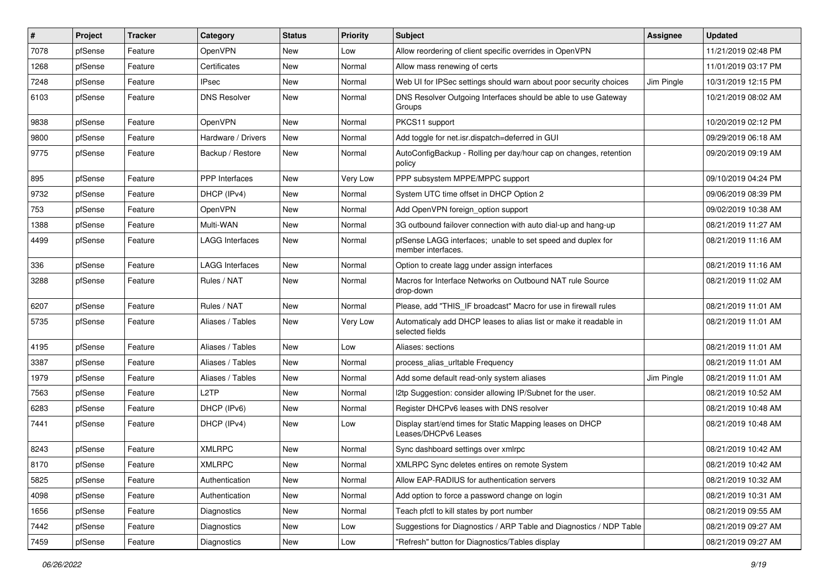| #    | Project | <b>Tracker</b> | Category            | <b>Status</b> | <b>Priority</b> | Subject                                                                              | <b>Assignee</b> | <b>Updated</b>      |
|------|---------|----------------|---------------------|---------------|-----------------|--------------------------------------------------------------------------------------|-----------------|---------------------|
| 7078 | pfSense | Feature        | OpenVPN             | New           | Low             | Allow reordering of client specific overrides in OpenVPN                             |                 | 11/21/2019 02:48 PM |
| 1268 | pfSense | Feature        | Certificates        | New           | Normal          | Allow mass renewing of certs                                                         |                 | 11/01/2019 03:17 PM |
| 7248 | pfSense | Feature        | IPsec               | New           | Normal          | Web UI for IPSec settings should warn about poor security choices                    | Jim Pingle      | 10/31/2019 12:15 PM |
| 6103 | pfSense | Feature        | <b>DNS Resolver</b> | New           | Normal          | DNS Resolver Outgoing Interfaces should be able to use Gateway<br>Groups             |                 | 10/21/2019 08:02 AM |
| 9838 | pfSense | Feature        | OpenVPN             | <b>New</b>    | Normal          | PKCS11 support                                                                       |                 | 10/20/2019 02:12 PM |
| 9800 | pfSense | Feature        | Hardware / Drivers  | New           | Normal          | Add toggle for net.isr.dispatch=deferred in GUI                                      |                 | 09/29/2019 06:18 AM |
| 9775 | pfSense | Feature        | Backup / Restore    | <b>New</b>    | Normal          | AutoConfigBackup - Rolling per day/hour cap on changes, retention<br>policy          |                 | 09/20/2019 09:19 AM |
| 895  | pfSense | Feature        | PPP Interfaces      | New           | Very Low        | PPP subsystem MPPE/MPPC support                                                      |                 | 09/10/2019 04:24 PM |
| 9732 | pfSense | Feature        | DHCP (IPv4)         | New           | Normal          | System UTC time offset in DHCP Option 2                                              |                 | 09/06/2019 08:39 PM |
| 753  | pfSense | Feature        | OpenVPN             | New           | Normal          | Add OpenVPN foreign option support                                                   |                 | 09/02/2019 10:38 AM |
| 1388 | pfSense | Feature        | Multi-WAN           | New           | Normal          | 3G outbound failover connection with auto dial-up and hang-up                        |                 | 08/21/2019 11:27 AM |
| 4499 | pfSense | Feature        | LAGG Interfaces     | New           | Normal          | pfSense LAGG interfaces; unable to set speed and duplex for<br>member interfaces.    |                 | 08/21/2019 11:16 AM |
| 336  | pfSense | Feature        | LAGG Interfaces     | <b>New</b>    | Normal          | Option to create lagg under assign interfaces                                        |                 | 08/21/2019 11:16 AM |
| 3288 | pfSense | Feature        | Rules / NAT         | New           | Normal          | Macros for Interface Networks on Outbound NAT rule Source<br>drop-down               |                 | 08/21/2019 11:02 AM |
| 6207 | pfSense | Feature        | Rules / NAT         | New           | Normal          | Please, add "THIS_IF broadcast" Macro for use in firewall rules                      |                 | 08/21/2019 11:01 AM |
| 5735 | pfSense | Feature        | Aliases / Tables    | New           | Very Low        | Automaticaly add DHCP leases to alias list or make it readable in<br>selected fields |                 | 08/21/2019 11:01 AM |
| 4195 | pfSense | Feature        | Aliases / Tables    | New           | Low             | Aliases: sections                                                                    |                 | 08/21/2019 11:01 AM |
| 3387 | pfSense | Feature        | Aliases / Tables    | New           | Normal          | process_alias_urltable Frequency                                                     |                 | 08/21/2019 11:01 AM |
| 1979 | pfSense | Feature        | Aliases / Tables    | New           | Normal          | Add some default read-only system aliases                                            | Jim Pingle      | 08/21/2019 11:01 AM |
| 7563 | pfSense | Feature        | L <sub>2</sub> TP   | New           | Normal          | I2tp Suggestion: consider allowing IP/Subnet for the user.                           |                 | 08/21/2019 10:52 AM |
| 6283 | pfSense | Feature        | DHCP (IPv6)         | New           | Normal          | Register DHCPv6 leases with DNS resolver                                             |                 | 08/21/2019 10:48 AM |
| 7441 | pfSense | Feature        | DHCP (IPv4)         | New           | Low             | Display start/end times for Static Mapping leases on DHCP<br>Leases/DHCPv6 Leases    |                 | 08/21/2019 10:48 AM |
| 8243 | pfSense | Feature        | <b>XMLRPC</b>       | New           | Normal          | Sync dashboard settings over xmlrpc                                                  |                 | 08/21/2019 10:42 AM |
| 8170 | pfSense | Feature        | <b>XMLRPC</b>       | New           | Normal          | XMLRPC Sync deletes entires on remote System                                         |                 | 08/21/2019 10:42 AM |
| 5825 | pfSense | Feature        | Authentication      | New           | Normal          | Allow EAP-RADIUS for authentication servers                                          |                 | 08/21/2019 10:32 AM |
| 4098 | pfSense | Feature        | Authentication      | New           | Normal          | Add option to force a password change on login                                       |                 | 08/21/2019 10:31 AM |
| 1656 | pfSense | Feature        | Diagnostics         | New           | Normal          | Teach pfctl to kill states by port number                                            |                 | 08/21/2019 09:55 AM |
| 7442 | pfSense | Feature        | Diagnostics         | New           | Low             | Suggestions for Diagnostics / ARP Table and Diagnostics / NDP Table                  |                 | 08/21/2019 09:27 AM |
| 7459 | pfSense | Feature        | Diagnostics         | New           | Low             | "Refresh" button for Diagnostics/Tables display                                      |                 | 08/21/2019 09:27 AM |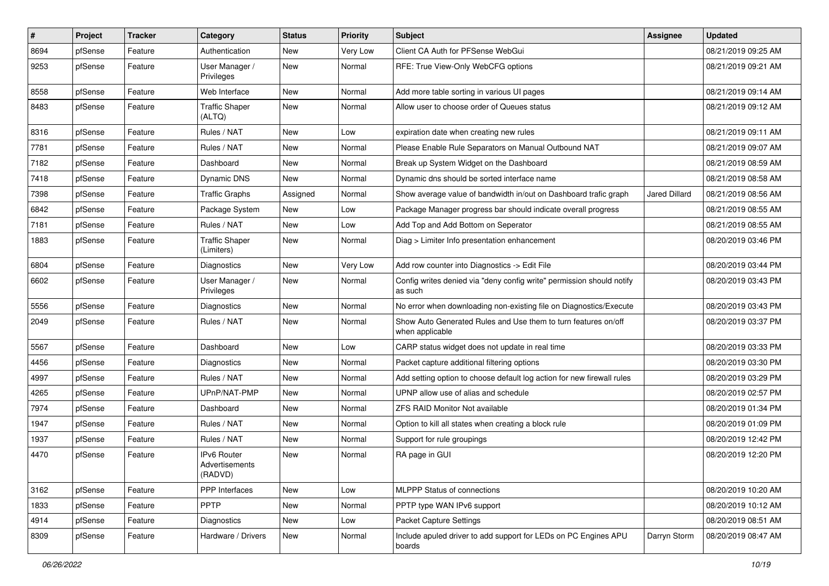| #    | Project | <b>Tracker</b> | Category                                 | <b>Status</b> | <b>Priority</b> | Subject                                                                           | <b>Assignee</b>      | <b>Updated</b>      |
|------|---------|----------------|------------------------------------------|---------------|-----------------|-----------------------------------------------------------------------------------|----------------------|---------------------|
| 8694 | pfSense | Feature        | Authentication                           | New           | Very Low        | Client CA Auth for PFSense WebGui                                                 |                      | 08/21/2019 09:25 AM |
| 9253 | pfSense | Feature        | User Manager /<br>Privileges             | New           | Normal          | RFE: True View-Only WebCFG options                                                |                      | 08/21/2019 09:21 AM |
| 8558 | pfSense | Feature        | Web Interface                            | <b>New</b>    | Normal          | Add more table sorting in various UI pages                                        |                      | 08/21/2019 09:14 AM |
| 8483 | pfSense | Feature        | <b>Traffic Shaper</b><br>(ALTQ)          | New           | Normal          | Allow user to choose order of Queues status                                       |                      | 08/21/2019 09:12 AM |
| 8316 | pfSense | Feature        | Rules / NAT                              | New           | Low             | expiration date when creating new rules                                           |                      | 08/21/2019 09:11 AM |
| 7781 | pfSense | Feature        | Rules / NAT                              | <b>New</b>    | Normal          | Please Enable Rule Separators on Manual Outbound NAT                              |                      | 08/21/2019 09:07 AM |
| 7182 | pfSense | Feature        | Dashboard                                | New           | Normal          | Break up System Widget on the Dashboard                                           |                      | 08/21/2019 08:59 AM |
| 7418 | pfSense | Feature        | Dynamic DNS                              | New           | Normal          | Dynamic dns should be sorted interface name                                       |                      | 08/21/2019 08:58 AM |
| 7398 | pfSense | Feature        | <b>Traffic Graphs</b>                    | Assigned      | Normal          | Show average value of bandwidth in/out on Dashboard trafic graph                  | <b>Jared Dillard</b> | 08/21/2019 08:56 AM |
| 6842 | pfSense | Feature        | Package System                           | New           | Low             | Package Manager progress bar should indicate overall progress                     |                      | 08/21/2019 08:55 AM |
| 7181 | pfSense | Feature        | Rules / NAT                              | <b>New</b>    | Low             | Add Top and Add Bottom on Seperator                                               |                      | 08/21/2019 08:55 AM |
| 1883 | pfSense | Feature        | <b>Traffic Shaper</b><br>(Limiters)      | New           | Normal          | Diag > Limiter Info presentation enhancement                                      |                      | 08/20/2019 03:46 PM |
| 6804 | pfSense | Feature        | <b>Diagnostics</b>                       | New           | Very Low        | Add row counter into Diagnostics -> Edit File                                     |                      | 08/20/2019 03:44 PM |
| 6602 | pfSense | Feature        | User Manager /<br>Privileges             | New           | Normal          | Config writes denied via "deny config write" permission should notify<br>as such  |                      | 08/20/2019 03:43 PM |
| 5556 | pfSense | Feature        | Diagnostics                              | New           | Normal          | No error when downloading non-existing file on Diagnostics/Execute                |                      | 08/20/2019 03:43 PM |
| 2049 | pfSense | Feature        | Rules / NAT                              | New           | Normal          | Show Auto Generated Rules and Use them to turn features on/off<br>when applicable |                      | 08/20/2019 03:37 PM |
| 5567 | pfSense | Feature        | Dashboard                                | New           | Low             | CARP status widget does not update in real time                                   |                      | 08/20/2019 03:33 PM |
| 4456 | pfSense | Feature        | Diagnostics                              | New           | Normal          | Packet capture additional filtering options                                       |                      | 08/20/2019 03:30 PM |
| 4997 | pfSense | Feature        | Rules / NAT                              | <b>New</b>    | Normal          | Add setting option to choose default log action for new firewall rules            |                      | 08/20/2019 03:29 PM |
| 4265 | pfSense | Feature        | UPnP/NAT-PMP                             | New           | Normal          | UPNP allow use of alias and schedule                                              |                      | 08/20/2019 02:57 PM |
| 7974 | pfSense | Feature        | Dashboard                                | <b>New</b>    | Normal          | <b>ZFS RAID Monitor Not available</b>                                             |                      | 08/20/2019 01:34 PM |
| 1947 | pfSense | Feature        | Rules / NAT                              | New           | Normal          | Option to kill all states when creating a block rule                              |                      | 08/20/2019 01:09 PM |
| 1937 | pfSense | Feature        | Rules / NAT                              | New           | Normal          | Support for rule groupings                                                        |                      | 08/20/2019 12:42 PM |
| 4470 | pfSense | Feature        | IPv6 Router<br>Advertisements<br>(RADVD) | New           | Normal          | RA page in GUI                                                                    |                      | 08/20/2019 12:20 PM |
| 3162 | pfSense | Feature        | PPP Interfaces                           | New           | Low             | MLPPP Status of connections                                                       |                      | 08/20/2019 10:20 AM |
| 1833 | pfSense | Feature        | <b>PPTP</b>                              | New           | Normal          | PPTP type WAN IPv6 support                                                        |                      | 08/20/2019 10:12 AM |
| 4914 | pfSense | Feature        | Diagnostics                              | New           | Low             | Packet Capture Settings                                                           |                      | 08/20/2019 08:51 AM |
| 8309 | pfSense | Feature        | Hardware / Drivers                       | New           | Normal          | Include apuled driver to add support for LEDs on PC Engines APU<br>boards         | Darryn Storm         | 08/20/2019 08:47 AM |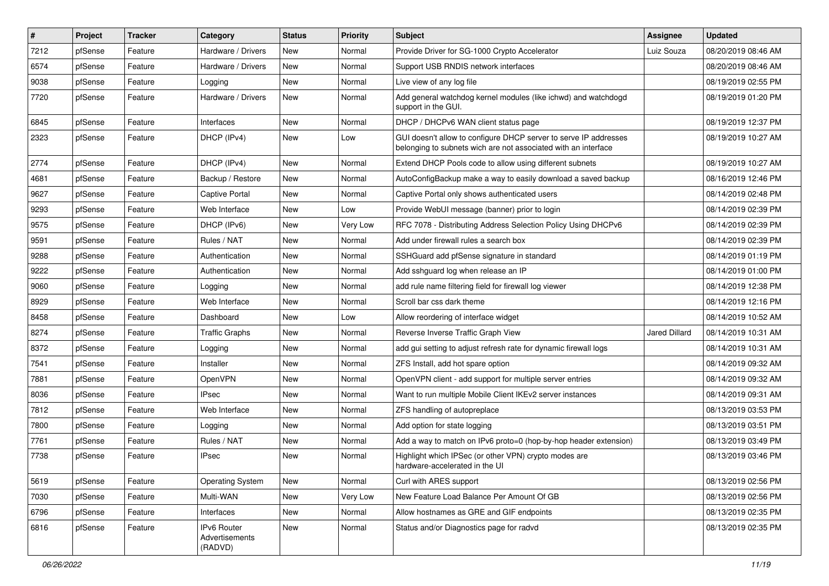| $\vert$ # | Project | <b>Tracker</b> | Category                                 | <b>Status</b> | <b>Priority</b> | Subject                                                                                                                            | <b>Assignee</b> | <b>Updated</b>      |
|-----------|---------|----------------|------------------------------------------|---------------|-----------------|------------------------------------------------------------------------------------------------------------------------------------|-----------------|---------------------|
| 7212      | pfSense | Feature        | Hardware / Drivers                       | New           | Normal          | Provide Driver for SG-1000 Crypto Accelerator                                                                                      | Luiz Souza      | 08/20/2019 08:46 AM |
| 6574      | pfSense | Feature        | Hardware / Drivers                       | <b>New</b>    | Normal          | Support USB RNDIS network interfaces                                                                                               |                 | 08/20/2019 08:46 AM |
| 9038      | pfSense | Feature        | Logging                                  | New           | Normal          | Live view of any log file                                                                                                          |                 | 08/19/2019 02:55 PM |
| 7720      | pfSense | Feature        | Hardware / Drivers                       | New           | Normal          | Add general watchdog kernel modules (like ichwd) and watchdogd<br>support in the GUI.                                              |                 | 08/19/2019 01:20 PM |
| 6845      | pfSense | Feature        | Interfaces                               | New           | Normal          | DHCP / DHCPv6 WAN client status page                                                                                               |                 | 08/19/2019 12:37 PM |
| 2323      | pfSense | Feature        | DHCP (IPv4)                              | New           | Low             | GUI doesn't allow to configure DHCP server to serve IP addresses<br>belonging to subnets wich are not associated with an interface |                 | 08/19/2019 10:27 AM |
| 2774      | pfSense | Feature        | DHCP (IPv4)                              | <b>New</b>    | Normal          | Extend DHCP Pools code to allow using different subnets                                                                            |                 | 08/19/2019 10:27 AM |
| 4681      | pfSense | Feature        | Backup / Restore                         | <b>New</b>    | Normal          | AutoConfigBackup make a way to easily download a saved backup                                                                      |                 | 08/16/2019 12:46 PM |
| 9627      | pfSense | Feature        | Captive Portal                           | New           | Normal          | Captive Portal only shows authenticated users                                                                                      |                 | 08/14/2019 02:48 PM |
| 9293      | pfSense | Feature        | Web Interface                            | New           | Low             | Provide WebUI message (banner) prior to login                                                                                      |                 | 08/14/2019 02:39 PM |
| 9575      | pfSense | Feature        | DHCP (IPv6)                              | <b>New</b>    | Very Low        | RFC 7078 - Distributing Address Selection Policy Using DHCPv6                                                                      |                 | 08/14/2019 02:39 PM |
| 9591      | pfSense | Feature        | Rules / NAT                              | New           | Normal          | Add under firewall rules a search box                                                                                              |                 | 08/14/2019 02:39 PM |
| 9288      | pfSense | Feature        | Authentication                           | New           | Normal          | SSHGuard add pfSense signature in standard                                                                                         |                 | 08/14/2019 01:19 PM |
| 9222      | pfSense | Feature        | Authentication                           | New           | Normal          | Add sshguard log when release an IP                                                                                                |                 | 08/14/2019 01:00 PM |
| 9060      | pfSense | Feature        | Logging                                  | <b>New</b>    | Normal          | add rule name filtering field for firewall log viewer                                                                              |                 | 08/14/2019 12:38 PM |
| 8929      | pfSense | Feature        | Web Interface                            | New           | Normal          | Scroll bar css dark theme                                                                                                          |                 | 08/14/2019 12:16 PM |
| 8458      | pfSense | Feature        | Dashboard                                | New           | Low             | Allow reordering of interface widget                                                                                               |                 | 08/14/2019 10:52 AM |
| 8274      | pfSense | Feature        | <b>Traffic Graphs</b>                    | New           | Normal          | Reverse Inverse Traffic Graph View                                                                                                 | Jared Dillard   | 08/14/2019 10:31 AM |
| 8372      | pfSense | Feature        | Logging                                  | <b>New</b>    | Normal          | add gui setting to adjust refresh rate for dynamic firewall logs                                                                   |                 | 08/14/2019 10:31 AM |
| 7541      | pfSense | Feature        | Installer                                | New           | Normal          | ZFS Install, add hot spare option                                                                                                  |                 | 08/14/2019 09:32 AM |
| 7881      | pfSense | Feature        | OpenVPN                                  | New           | Normal          | OpenVPN client - add support for multiple server entries                                                                           |                 | 08/14/2019 09:32 AM |
| 8036      | pfSense | Feature        | <b>IPsec</b>                             | New           | Normal          | Want to run multiple Mobile Client IKEv2 server instances                                                                          |                 | 08/14/2019 09:31 AM |
| 7812      | pfSense | Feature        | Web Interface                            | New           | Normal          | ZFS handling of autopreplace                                                                                                       |                 | 08/13/2019 03:53 PM |
| 7800      | pfSense | Feature        | Logging                                  | <b>New</b>    | Normal          | Add option for state logging                                                                                                       |                 | 08/13/2019 03:51 PM |
| 7761      | pfSense | Feature        | Rules / NAT                              | New           | Normal          | Add a way to match on IPv6 proto=0 (hop-by-hop header extension)                                                                   |                 | 08/13/2019 03:49 PM |
| 7738      | pfSense | Feature        | <b>IPsec</b>                             | New           | Normal          | Highlight which IPSec (or other VPN) crypto modes are<br>hardware-accelerated in the UI                                            |                 | 08/13/2019 03:46 PM |
| 5619      | pfSense | Feature        | <b>Operating System</b>                  | New           | Normal          | Curl with ARES support                                                                                                             |                 | 08/13/2019 02:56 PM |
| 7030      | pfSense | Feature        | Multi-WAN                                | New           | Very Low        | New Feature Load Balance Per Amount Of GB                                                                                          |                 | 08/13/2019 02:56 PM |
| 6796      | pfSense | Feature        | Interfaces                               | New           | Normal          | Allow hostnames as GRE and GIF endpoints                                                                                           |                 | 08/13/2019 02:35 PM |
| 6816      | pfSense | Feature        | IPv6 Router<br>Advertisements<br>(RADVD) | New           | Normal          | Status and/or Diagnostics page for radvd                                                                                           |                 | 08/13/2019 02:35 PM |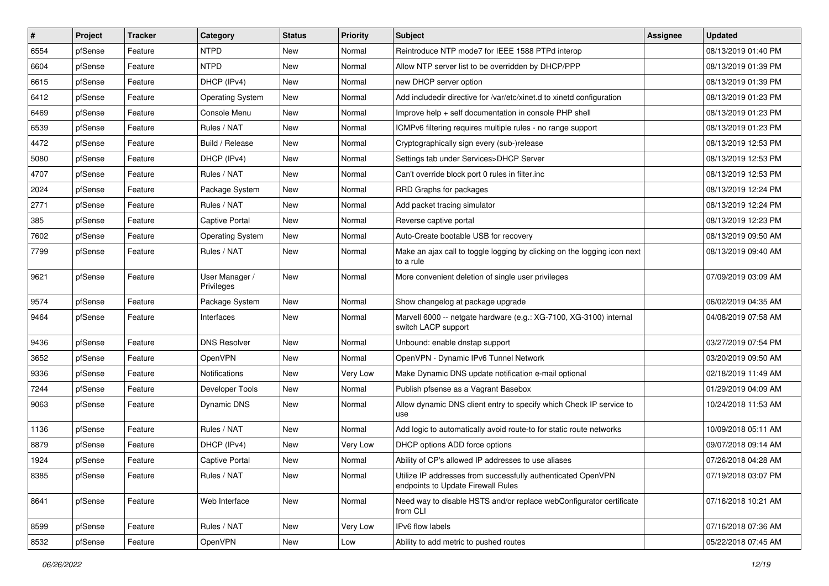| $\vert$ # | Project | <b>Tracker</b> | Category                     | <b>Status</b> | <b>Priority</b> | Subject                                                                                            | <b>Assignee</b> | <b>Updated</b>      |
|-----------|---------|----------------|------------------------------|---------------|-----------------|----------------------------------------------------------------------------------------------------|-----------------|---------------------|
| 6554      | pfSense | Feature        | <b>NTPD</b>                  | New           | Normal          | Reintroduce NTP mode7 for IEEE 1588 PTPd interop                                                   |                 | 08/13/2019 01:40 PM |
| 6604      | pfSense | Feature        | <b>NTPD</b>                  | New           | Normal          | Allow NTP server list to be overridden by DHCP/PPP                                                 |                 | 08/13/2019 01:39 PM |
| 6615      | pfSense | Feature        | DHCP (IPv4)                  | New           | Normal          | new DHCP server option                                                                             |                 | 08/13/2019 01:39 PM |
| 6412      | pfSense | Feature        | <b>Operating System</b>      | New           | Normal          | Add includedir directive for /var/etc/xinet.d to xinetd configuration                              |                 | 08/13/2019 01:23 PM |
| 6469      | pfSense | Feature        | Console Menu                 | New           | Normal          | Improve help + self documentation in console PHP shell                                             |                 | 08/13/2019 01:23 PM |
| 6539      | pfSense | Feature        | Rules / NAT                  | New           | Normal          | ICMPv6 filtering requires multiple rules - no range support                                        |                 | 08/13/2019 01:23 PM |
| 4472      | pfSense | Feature        | Build / Release              | New           | Normal          | Cryptographically sign every (sub-)release                                                         |                 | 08/13/2019 12:53 PM |
| 5080      | pfSense | Feature        | DHCP (IPv4)                  | New           | Normal          | Settings tab under Services>DHCP Server                                                            |                 | 08/13/2019 12:53 PM |
| 4707      | pfSense | Feature        | Rules / NAT                  | <b>New</b>    | Normal          | Can't override block port 0 rules in filter.inc                                                    |                 | 08/13/2019 12:53 PM |
| 2024      | pfSense | Feature        | Package System               | New           | Normal          | RRD Graphs for packages                                                                            |                 | 08/13/2019 12:24 PM |
| 2771      | pfSense | Feature        | Rules / NAT                  | New           | Normal          | Add packet tracing simulator                                                                       |                 | 08/13/2019 12:24 PM |
| 385       | pfSense | Feature        | <b>Captive Portal</b>        | New           | Normal          | Reverse captive portal                                                                             |                 | 08/13/2019 12:23 PM |
| 7602      | pfSense | Feature        | <b>Operating System</b>      | New           | Normal          | Auto-Create bootable USB for recovery                                                              |                 | 08/13/2019 09:50 AM |
| 7799      | pfSense | Feature        | Rules / NAT                  | New           | Normal          | Make an ajax call to toggle logging by clicking on the logging icon next<br>to a rule              |                 | 08/13/2019 09:40 AM |
| 9621      | pfSense | Feature        | User Manager /<br>Privileges | New           | Normal          | More convenient deletion of single user privileges                                                 |                 | 07/09/2019 03:09 AM |
| 9574      | pfSense | Feature        | Package System               | New           | Normal          | Show changelog at package upgrade                                                                  |                 | 06/02/2019 04:35 AM |
| 9464      | pfSense | Feature        | Interfaces                   | New           | Normal          | Marvell 6000 -- netgate hardware (e.g.: XG-7100, XG-3100) internal<br>switch LACP support          |                 | 04/08/2019 07:58 AM |
| 9436      | pfSense | Feature        | <b>DNS Resolver</b>          | <b>New</b>    | Normal          | Unbound: enable dnstap support                                                                     |                 | 03/27/2019 07:54 PM |
| 3652      | pfSense | Feature        | OpenVPN                      | New           | Normal          | OpenVPN - Dynamic IPv6 Tunnel Network                                                              |                 | 03/20/2019 09:50 AM |
| 9336      | pfSense | Feature        | Notifications                | New           | Very Low        | Make Dynamic DNS update notification e-mail optional                                               |                 | 02/18/2019 11:49 AM |
| 7244      | pfSense | Feature        | Developer Tools              | New           | Normal          | Publish pfsense as a Vagrant Basebox                                                               |                 | 01/29/2019 04:09 AM |
| 9063      | pfSense | Feature        | Dynamic DNS                  | New           | Normal          | Allow dynamic DNS client entry to specify which Check IP service to<br>use                         |                 | 10/24/2018 11:53 AM |
| 1136      | pfSense | Feature        | Rules / NAT                  | New           | Normal          | Add logic to automatically avoid route-to for static route networks                                |                 | 10/09/2018 05:11 AM |
| 8879      | pfSense | Feature        | DHCP (IPv4)                  | New           | Very Low        | DHCP options ADD force options                                                                     |                 | 09/07/2018 09:14 AM |
| 1924      | pfSense | Feature        | <b>Captive Portal</b>        | New           | Normal          | Ability of CP's allowed IP addresses to use aliases                                                |                 | 07/26/2018 04:28 AM |
| 8385      | pfSense | Feature        | Rules / NAT                  | New           | Normal          | Utilize IP addresses from successfully authenticated OpenVPN<br>endpoints to Update Firewall Rules |                 | 07/19/2018 03:07 PM |
| 8641      | pfSense | Feature        | Web Interface                | New           | Normal          | Need way to disable HSTS and/or replace webConfigurator certificate<br>from CLI                    |                 | 07/16/2018 10:21 AM |
| 8599      | pfSense | Feature        | Rules / NAT                  | New           | Very Low        | IPv6 flow labels                                                                                   |                 | 07/16/2018 07:36 AM |
| 8532      | pfSense | Feature        | OpenVPN                      | New           | Low             | Ability to add metric to pushed routes                                                             |                 | 05/22/2018 07:45 AM |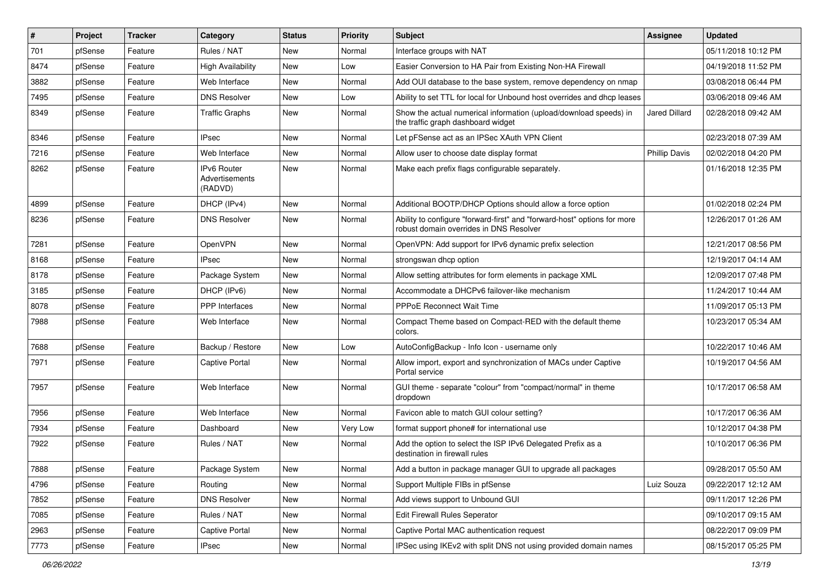| #    | Project | <b>Tracker</b> | Category                                 | <b>Status</b> | <b>Priority</b> | Subject                                                                                                             | Assignee             | <b>Updated</b>      |
|------|---------|----------------|------------------------------------------|---------------|-----------------|---------------------------------------------------------------------------------------------------------------------|----------------------|---------------------|
| 701  | pfSense | Feature        | Rules / NAT                              | New           | Normal          | Interface groups with NAT                                                                                           |                      | 05/11/2018 10:12 PM |
| 8474 | pfSense | Feature        | <b>High Availability</b>                 | New           | Low             | Easier Conversion to HA Pair from Existing Non-HA Firewall                                                          |                      | 04/19/2018 11:52 PM |
| 3882 | pfSense | Feature        | Web Interface                            | New           | Normal          | Add OUI database to the base system, remove dependency on nmap                                                      |                      | 03/08/2018 06:44 PM |
| 7495 | pfSense | Feature        | <b>DNS Resolver</b>                      | <b>New</b>    | Low             | Ability to set TTL for local for Unbound host overrides and dhcp leases                                             |                      | 03/06/2018 09:46 AM |
| 8349 | pfSense | Feature        | <b>Traffic Graphs</b>                    | <b>New</b>    | Normal          | Show the actual numerical information (upload/download speeds) in<br>the traffic graph dashboard widget             | <b>Jared Dillard</b> | 02/28/2018 09:42 AM |
| 8346 | pfSense | Feature        | <b>IPsec</b>                             | <b>New</b>    | Normal          | Let pFSense act as an IPSec XAuth VPN Client                                                                        |                      | 02/23/2018 07:39 AM |
| 7216 | pfSense | Feature        | Web Interface                            | New           | Normal          | Allow user to choose date display format                                                                            | <b>Phillip Davis</b> | 02/02/2018 04:20 PM |
| 8262 | pfSense | Feature        | IPv6 Router<br>Advertisements<br>(RADVD) | New           | Normal          | Make each prefix flags configurable separately.                                                                     |                      | 01/16/2018 12:35 PM |
| 4899 | pfSense | Feature        | DHCP (IPv4)                              | New           | Normal          | Additional BOOTP/DHCP Options should allow a force option                                                           |                      | 01/02/2018 02:24 PM |
| 8236 | pfSense | Feature        | <b>DNS Resolver</b>                      | New           | Normal          | Ability to configure "forward-first" and "forward-host" options for more<br>robust domain overrides in DNS Resolver |                      | 12/26/2017 01:26 AM |
| 7281 | pfSense | Feature        | OpenVPN                                  | <b>New</b>    | Normal          | OpenVPN: Add support for IPv6 dynamic prefix selection                                                              |                      | 12/21/2017 08:56 PM |
| 8168 | pfSense | Feature        | <b>IPsec</b>                             | <b>New</b>    | Normal          | strongswan dhcp option                                                                                              |                      | 12/19/2017 04:14 AM |
| 8178 | pfSense | Feature        | Package System                           | New           | Normal          | Allow setting attributes for form elements in package XML                                                           |                      | 12/09/2017 07:48 PM |
| 3185 | pfSense | Feature        | DHCP (IPv6)                              | New           | Normal          | Accommodate a DHCPv6 failover-like mechanism                                                                        |                      | 11/24/2017 10:44 AM |
| 8078 | pfSense | Feature        | PPP Interfaces                           | New           | Normal          | <b>PPPoE Reconnect Wait Time</b>                                                                                    |                      | 11/09/2017 05:13 PM |
| 7988 | pfSense | Feature        | Web Interface                            | New           | Normal          | Compact Theme based on Compact-RED with the default theme<br>colors.                                                |                      | 10/23/2017 05:34 AM |
| 7688 | pfSense | Feature        | Backup / Restore                         | New           | Low             | AutoConfigBackup - Info Icon - username only                                                                        |                      | 10/22/2017 10:46 AM |
| 7971 | pfSense | Feature        | <b>Captive Portal</b>                    | New           | Normal          | Allow import, export and synchronization of MACs under Captive<br>Portal service                                    |                      | 10/19/2017 04:56 AM |
| 7957 | pfSense | Feature        | Web Interface                            | New           | Normal          | GUI theme - separate "colour" from "compact/normal" in theme<br>dropdown                                            |                      | 10/17/2017 06:58 AM |
| 7956 | pfSense | Feature        | Web Interface                            | <b>New</b>    | Normal          | Favicon able to match GUI colour setting?                                                                           |                      | 10/17/2017 06:36 AM |
| 7934 | pfSense | Feature        | Dashboard                                | New           | <b>Very Low</b> | format support phone# for international use                                                                         |                      | 10/12/2017 04:38 PM |
| 7922 | pfSense | Feature        | Rules / NAT                              | New           | Normal          | Add the option to select the ISP IPv6 Delegated Prefix as a<br>destination in firewall rules                        |                      | 10/10/2017 06:36 PM |
| 7888 | pfSense | Feature        | Package System                           | New           | Normal          | Add a button in package manager GUI to upgrade all packages                                                         |                      | 09/28/2017 05:50 AM |
| 4796 | pfSense | Feature        | Routing                                  | New           | Normal          | Support Multiple FIBs in pfSense                                                                                    | Luiz Souza           | 09/22/2017 12:12 AM |
| 7852 | pfSense | Feature        | <b>DNS Resolver</b>                      | New           | Normal          | Add views support to Unbound GUI                                                                                    |                      | 09/11/2017 12:26 PM |
| 7085 | pfSense | Feature        | Rules / NAT                              | New           | Normal          | <b>Edit Firewall Rules Seperator</b>                                                                                |                      | 09/10/2017 09:15 AM |
| 2963 | pfSense | Feature        | <b>Captive Portal</b>                    | New           | Normal          | Captive Portal MAC authentication request                                                                           |                      | 08/22/2017 09:09 PM |
| 7773 | pfSense | Feature        | IPsec                                    | New           | Normal          | IPSec using IKEv2 with split DNS not using provided domain names                                                    |                      | 08/15/2017 05:25 PM |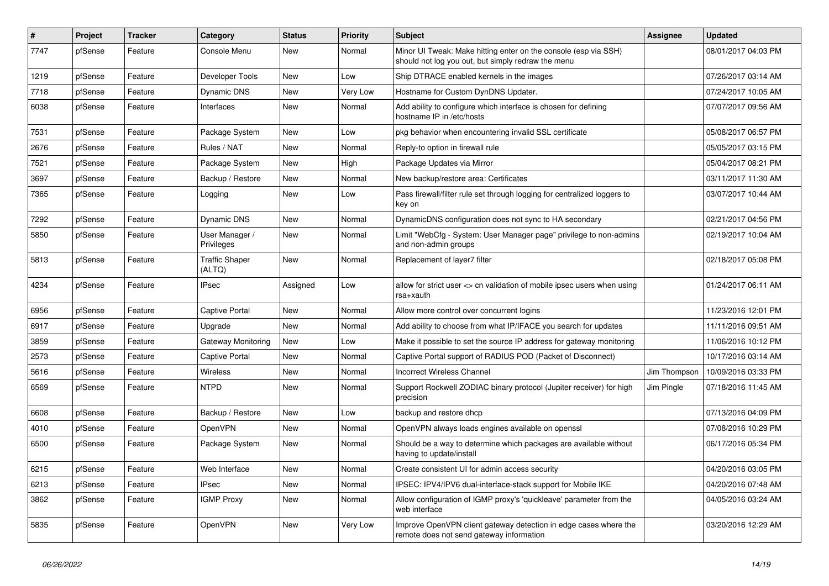| ∦    | Project | <b>Tracker</b> | Category                        | <b>Status</b> | <b>Priority</b> | Subject                                                                                                               | <b>Assignee</b> | <b>Updated</b>      |
|------|---------|----------------|---------------------------------|---------------|-----------------|-----------------------------------------------------------------------------------------------------------------------|-----------------|---------------------|
| 7747 | pfSense | Feature        | Console Menu                    | <b>New</b>    | Normal          | Minor UI Tweak: Make hitting enter on the console (esp via SSH)<br>should not log you out, but simply redraw the menu |                 | 08/01/2017 04:03 PM |
| 1219 | pfSense | Feature        | Developer Tools                 | New           | Low             | Ship DTRACE enabled kernels in the images                                                                             |                 | 07/26/2017 03:14 AM |
| 7718 | pfSense | Feature        | Dynamic DNS                     | <b>New</b>    | Very Low        | Hostname for Custom DynDNS Updater.                                                                                   |                 | 07/24/2017 10:05 AM |
| 6038 | pfSense | Feature        | Interfaces                      | New           | Normal          | Add ability to configure which interface is chosen for defining<br>hostname IP in /etc/hosts                          |                 | 07/07/2017 09:56 AM |
| 7531 | pfSense | Feature        | Package System                  | <b>New</b>    | Low             | pkg behavior when encountering invalid SSL certificate                                                                |                 | 05/08/2017 06:57 PM |
| 2676 | pfSense | Feature        | Rules / NAT                     | <b>New</b>    | Normal          | Reply-to option in firewall rule                                                                                      |                 | 05/05/2017 03:15 PM |
| 7521 | pfSense | Feature        | Package System                  | <b>New</b>    | High            | Package Updates via Mirror                                                                                            |                 | 05/04/2017 08:21 PM |
| 3697 | pfSense | Feature        | Backup / Restore                | <b>New</b>    | Normal          | New backup/restore area: Certificates                                                                                 |                 | 03/11/2017 11:30 AM |
| 7365 | pfSense | Feature        | Logging                         | <b>New</b>    | Low             | Pass firewall/filter rule set through logging for centralized loggers to<br>key on                                    |                 | 03/07/2017 10:44 AM |
| 7292 | pfSense | Feature        | Dynamic DNS                     | <b>New</b>    | Normal          | DynamicDNS configuration does not sync to HA secondary                                                                |                 | 02/21/2017 04:56 PM |
| 5850 | pfSense | Feature        | User Manager /<br>Privileges    | <b>New</b>    | Normal          | Limit "WebCfg - System: User Manager page" privilege to non-admins<br>and non-admin groups                            |                 | 02/19/2017 10:04 AM |
| 5813 | pfSense | Feature        | <b>Traffic Shaper</b><br>(ALTQ) | New           | Normal          | Replacement of layer7 filter                                                                                          |                 | 02/18/2017 05:08 PM |
| 4234 | pfSense | Feature        | <b>IPsec</b>                    | Assigned      | Low             | allow for strict user <> cn validation of mobile ipsec users when using<br>rsa+xauth                                  |                 | 01/24/2017 06:11 AM |
| 6956 | pfSense | Feature        | Captive Portal                  | <b>New</b>    | Normal          | Allow more control over concurrent logins                                                                             |                 | 11/23/2016 12:01 PM |
| 6917 | pfSense | Feature        | Upgrade                         | <b>New</b>    | Normal          | Add ability to choose from what IP/IFACE you search for updates                                                       |                 | 11/11/2016 09:51 AM |
| 3859 | pfSense | Feature        | Gateway Monitoring              | <b>New</b>    | Low             | Make it possible to set the source IP address for gateway monitoring                                                  |                 | 11/06/2016 10:12 PM |
| 2573 | pfSense | Feature        | Captive Portal                  | <b>New</b>    | Normal          | Captive Portal support of RADIUS POD (Packet of Disconnect)                                                           |                 | 10/17/2016 03:14 AM |
| 5616 | pfSense | Feature        | Wireless                        | New           | Normal          | <b>Incorrect Wireless Channel</b>                                                                                     | Jim Thompson    | 10/09/2016 03:33 PM |
| 6569 | pfSense | Feature        | NTPD                            | <b>New</b>    | Normal          | Support Rockwell ZODIAC binary protocol (Jupiter receiver) for high<br>precision                                      | Jim Pingle      | 07/18/2016 11:45 AM |
| 6608 | pfSense | Feature        | Backup / Restore                | New           | Low             | backup and restore dhcp                                                                                               |                 | 07/13/2016 04:09 PM |
| 4010 | pfSense | Feature        | <b>OpenVPN</b>                  | <b>New</b>    | Normal          | OpenVPN always loads engines available on openssl                                                                     |                 | 07/08/2016 10:29 PM |
| 6500 | pfSense | Feature        | Package System                  | <b>New</b>    | Normal          | Should be a way to determine which packages are available without<br>having to update/install                         |                 | 06/17/2016 05:34 PM |
| 6215 | pfSense | Feature        | Web Interface                   | <b>New</b>    | Normal          | Create consistent UI for admin access security                                                                        |                 | 04/20/2016 03:05 PM |
| 6213 | pfSense | Feature        | <b>IPsec</b>                    | <b>New</b>    | Normal          | IPSEC: IPV4/IPV6 dual-interface-stack support for Mobile IKE                                                          |                 | 04/20/2016 07:48 AM |
| 3862 | pfSense | Feature        | <b>IGMP Proxy</b>               | <b>New</b>    | Normal          | Allow configuration of IGMP proxy's 'quickleave' parameter from the<br>web interface                                  |                 | 04/05/2016 03:24 AM |
| 5835 | pfSense | Feature        | <b>OpenVPN</b>                  | <b>New</b>    | Very Low        | Improve OpenVPN client gateway detection in edge cases where the<br>remote does not send gateway information          |                 | 03/20/2016 12:29 AM |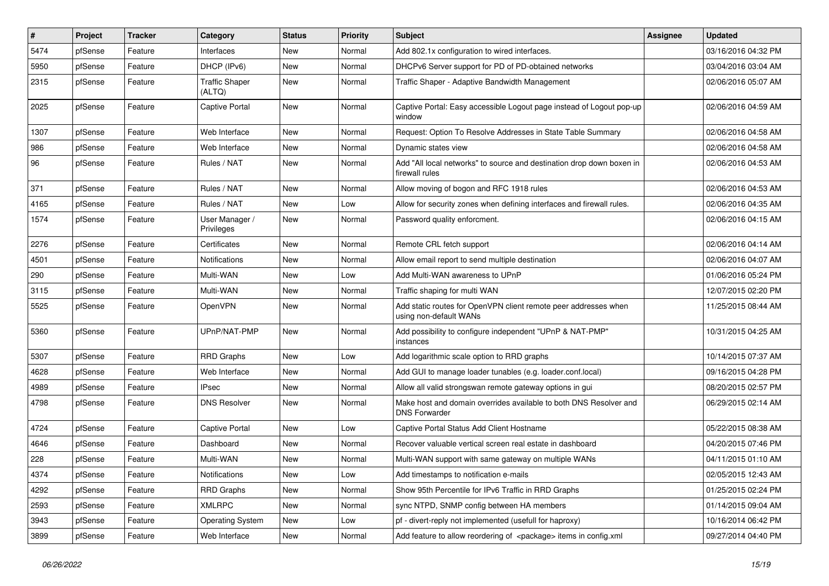| #    | Project | <b>Tracker</b> | Category                        | <b>Status</b> | <b>Priority</b> | Subject                                                                                   | <b>Assignee</b> | <b>Updated</b>      |
|------|---------|----------------|---------------------------------|---------------|-----------------|-------------------------------------------------------------------------------------------|-----------------|---------------------|
| 5474 | pfSense | Feature        | Interfaces                      | New           | Normal          | Add 802.1x configuration to wired interfaces.                                             |                 | 03/16/2016 04:32 PM |
| 5950 | pfSense | Feature        | DHCP (IPv6)                     | <b>New</b>    | Normal          | DHCPv6 Server support for PD of PD-obtained networks                                      |                 | 03/04/2016 03:04 AM |
| 2315 | pfSense | Feature        | <b>Traffic Shaper</b><br>(ALTQ) | New           | Normal          | Traffic Shaper - Adaptive Bandwidth Management                                            |                 | 02/06/2016 05:07 AM |
| 2025 | pfSense | Feature        | Captive Portal                  | New           | Normal          | Captive Portal: Easy accessible Logout page instead of Logout pop-up<br>window            |                 | 02/06/2016 04:59 AM |
| 1307 | pfSense | Feature        | Web Interface                   | New           | Normal          | Request: Option To Resolve Addresses in State Table Summary                               |                 | 02/06/2016 04:58 AM |
| 986  | pfSense | Feature        | Web Interface                   | <b>New</b>    | Normal          | Dynamic states view                                                                       |                 | 02/06/2016 04:58 AM |
| 96   | pfSense | Feature        | Rules / NAT                     | New           | Normal          | Add "All local networks" to source and destination drop down boxen in<br>firewall rules   |                 | 02/06/2016 04:53 AM |
| 371  | pfSense | Feature        | Rules / NAT                     | New           | Normal          | Allow moving of bogon and RFC 1918 rules                                                  |                 | 02/06/2016 04:53 AM |
| 4165 | pfSense | Feature        | Rules / NAT                     | <b>New</b>    | Low             | Allow for security zones when defining interfaces and firewall rules.                     |                 | 02/06/2016 04:35 AM |
| 1574 | pfSense | Feature        | User Manager /<br>Privileges    | New           | Normal          | Password quality enforcment.                                                              |                 | 02/06/2016 04:15 AM |
| 2276 | pfSense | Feature        | Certificates                    | <b>New</b>    | Normal          | Remote CRL fetch support                                                                  |                 | 02/06/2016 04:14 AM |
| 4501 | pfSense | Feature        | <b>Notifications</b>            | New           | Normal          | Allow email report to send multiple destination                                           |                 | 02/06/2016 04:07 AM |
| 290  | pfSense | Feature        | Multi-WAN                       | New           | Low             | Add Multi-WAN awareness to UPnP                                                           |                 | 01/06/2016 05:24 PM |
| 3115 | pfSense | Feature        | Multi-WAN                       | <b>New</b>    | Normal          | Traffic shaping for multi WAN                                                             |                 | 12/07/2015 02:20 PM |
| 5525 | pfSense | Feature        | OpenVPN                         | New           | Normal          | Add static routes for OpenVPN client remote peer addresses when<br>using non-default WANs |                 | 11/25/2015 08:44 AM |
| 5360 | pfSense | Feature        | UPnP/NAT-PMP                    | <b>New</b>    | Normal          | Add possibility to configure independent "UPnP & NAT-PMP"<br>instances                    |                 | 10/31/2015 04:25 AM |
| 5307 | pfSense | Feature        | <b>RRD Graphs</b>               | <b>New</b>    | Low             | Add logarithmic scale option to RRD graphs                                                |                 | 10/14/2015 07:37 AM |
| 4628 | pfSense | Feature        | Web Interface                   | <b>New</b>    | Normal          | Add GUI to manage loader tunables (e.g. loader.conf.local)                                |                 | 09/16/2015 04:28 PM |
| 4989 | pfSense | Feature        | <b>IPsec</b>                    | New           | Normal          | Allow all valid strongswan remote gateway options in gui                                  |                 | 08/20/2015 02:57 PM |
| 4798 | pfSense | Feature        | <b>DNS Resolver</b>             | New           | Normal          | Make host and domain overrides available to both DNS Resolver and<br><b>DNS Forwarder</b> |                 | 06/29/2015 02:14 AM |
| 4724 | pfSense | Feature        | Captive Portal                  | <b>New</b>    | Low             | Captive Portal Status Add Client Hostname                                                 |                 | 05/22/2015 08:38 AM |
| 4646 | pfSense | Feature        | Dashboard                       | <b>New</b>    | Normal          | Recover valuable vertical screen real estate in dashboard                                 |                 | 04/20/2015 07:46 PM |
| 228  | pfSense | Feature        | Multi-WAN                       | New           | Normal          | Multi-WAN support with same gateway on multiple WANs                                      |                 | 04/11/2015 01:10 AM |
| 4374 | pfSense | Feature        | Notifications                   | New           | Low             | Add timestamps to notification e-mails                                                    |                 | 02/05/2015 12:43 AM |
| 4292 | pfSense | Feature        | <b>RRD Graphs</b>               | New           | Normal          | Show 95th Percentile for IPv6 Traffic in RRD Graphs                                       |                 | 01/25/2015 02:24 PM |
| 2593 | pfSense | Feature        | <b>XMLRPC</b>                   | New           | Normal          | sync NTPD, SNMP config between HA members                                                 |                 | 01/14/2015 09:04 AM |
| 3943 | pfSense | Feature        | <b>Operating System</b>         | New           | Low             | pf - divert-reply not implemented (usefull for haproxy)                                   |                 | 10/16/2014 06:42 PM |
| 3899 | pfSense | Feature        | Web Interface                   | New           | Normal          | Add feature to allow reordering of <package> items in config.xml</package>                |                 | 09/27/2014 04:40 PM |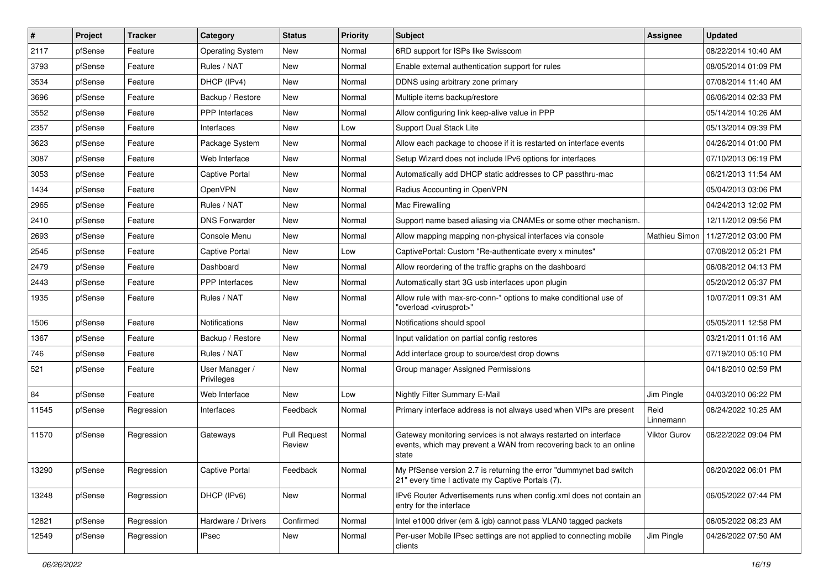| #     | Project | <b>Tracker</b> | Category                     | <b>Status</b>                 | <b>Priority</b> | Subject                                                                                                                                        | <b>Assignee</b>   | <b>Updated</b>      |
|-------|---------|----------------|------------------------------|-------------------------------|-----------------|------------------------------------------------------------------------------------------------------------------------------------------------|-------------------|---------------------|
| 2117  | pfSense | Feature        | <b>Operating System</b>      | New                           | Normal          | 6RD support for ISPs like Swisscom                                                                                                             |                   | 08/22/2014 10:40 AM |
| 3793  | pfSense | Feature        | Rules / NAT                  | New                           | Normal          | Enable external authentication support for rules                                                                                               |                   | 08/05/2014 01:09 PM |
| 3534  | pfSense | Feature        | DHCP (IPv4)                  | New                           | Normal          | DDNS using arbitrary zone primary                                                                                                              |                   | 07/08/2014 11:40 AM |
| 3696  | pfSense | Feature        | Backup / Restore             | <b>New</b>                    | Normal          | Multiple items backup/restore                                                                                                                  |                   | 06/06/2014 02:33 PM |
| 3552  | pfSense | Feature        | <b>PPP</b> Interfaces        | New                           | Normal          | Allow configuring link keep-alive value in PPP                                                                                                 |                   | 05/14/2014 10:26 AM |
| 2357  | pfSense | Feature        | Interfaces                   | New                           | Low             | Support Dual Stack Lite                                                                                                                        |                   | 05/13/2014 09:39 PM |
| 3623  | pfSense | Feature        | Package System               | New                           | Normal          | Allow each package to choose if it is restarted on interface events                                                                            |                   | 04/26/2014 01:00 PM |
| 3087  | pfSense | Feature        | Web Interface                | New                           | Normal          | Setup Wizard does not include IPv6 options for interfaces                                                                                      |                   | 07/10/2013 06:19 PM |
| 3053  | pfSense | Feature        | Captive Portal               | New                           | Normal          | Automatically add DHCP static addresses to CP passthru-mac                                                                                     |                   | 06/21/2013 11:54 AM |
| 1434  | pfSense | Feature        | OpenVPN                      | <b>New</b>                    | Normal          | Radius Accounting in OpenVPN                                                                                                                   |                   | 05/04/2013 03:06 PM |
| 2965  | pfSense | Feature        | Rules / NAT                  | New                           | Normal          | Mac Firewalling                                                                                                                                |                   | 04/24/2013 12:02 PM |
| 2410  | pfSense | Feature        | <b>DNS Forwarder</b>         | New                           | Normal          | Support name based aliasing via CNAMEs or some other mechanism.                                                                                |                   | 12/11/2012 09:56 PM |
| 2693  | pfSense | Feature        | Console Menu                 | New                           | Normal          | Allow mapping mapping non-physical interfaces via console                                                                                      | Mathieu Simon     | 11/27/2012 03:00 PM |
| 2545  | pfSense | Feature        | Captive Portal               | <b>New</b>                    | Low             | CaptivePortal: Custom "Re-authenticate every x minutes"                                                                                        |                   | 07/08/2012 05:21 PM |
| 2479  | pfSense | Feature        | Dashboard                    | <b>New</b>                    | Normal          | Allow reordering of the traffic graphs on the dashboard                                                                                        |                   | 06/08/2012 04:13 PM |
| 2443  | pfSense | Feature        | PPP Interfaces               | New                           | Normal          | Automatically start 3G usb interfaces upon plugin                                                                                              |                   | 05/20/2012 05:37 PM |
| 1935  | pfSense | Feature        | Rules / NAT                  | New                           | Normal          | Allow rule with max-src-conn-* options to make conditional use of<br>"overload <virusprot>"</virusprot>                                        |                   | 10/07/2011 09:31 AM |
| 1506  | pfSense | Feature        | Notifications                | <b>New</b>                    | Normal          | Notifications should spool                                                                                                                     |                   | 05/05/2011 12:58 PM |
| 1367  | pfSense | Feature        | Backup / Restore             | New                           | Normal          | Input validation on partial config restores                                                                                                    |                   | 03/21/2011 01:16 AM |
| 746   | pfSense | Feature        | Rules / NAT                  | <b>New</b>                    | Normal          | Add interface group to source/dest drop downs                                                                                                  |                   | 07/19/2010 05:10 PM |
| 521   | pfSense | Feature        | User Manager /<br>Privileges | New                           | Normal          | Group manager Assigned Permissions                                                                                                             |                   | 04/18/2010 02:59 PM |
| 84    | pfSense | Feature        | Web Interface                | New                           | Low             | Nightly Filter Summary E-Mail                                                                                                                  | Jim Pingle        | 04/03/2010 06:22 PM |
| 11545 | pfSense | Regression     | Interfaces                   | Feedback                      | Normal          | Primary interface address is not always used when VIPs are present                                                                             | Reid<br>Linnemann | 06/24/2022 10:25 AM |
| 11570 | pfSense | Regression     | Gateways                     | <b>Pull Request</b><br>Review | Normal          | Gateway monitoring services is not always restarted on interface<br>events, which may prevent a WAN from recovering back to an online<br>state | Viktor Gurov      | 06/22/2022 09:04 PM |
| 13290 | pfSense | Regression     | Captive Portal               | Feedback                      | Normal          | My PfSense version 2.7 is returning the error "dummynet bad switch<br>21" every time I activate my Captive Portals (7).                        |                   | 06/20/2022 06:01 PM |
| 13248 | pfSense | Regression     | DHCP (IPv6)                  | New                           | Normal          | IPv6 Router Advertisements runs when config.xml does not contain an<br>entry for the interface                                                 |                   | 06/05/2022 07:44 PM |
| 12821 | pfSense | Regression     | Hardware / Drivers           | Confirmed                     | Normal          | Intel e1000 driver (em & igb) cannot pass VLAN0 tagged packets                                                                                 |                   | 06/05/2022 08:23 AM |
| 12549 | pfSense | Regression     | <b>IPsec</b>                 | New                           | Normal          | Per-user Mobile IPsec settings are not applied to connecting mobile<br>clients                                                                 | Jim Pingle        | 04/26/2022 07:50 AM |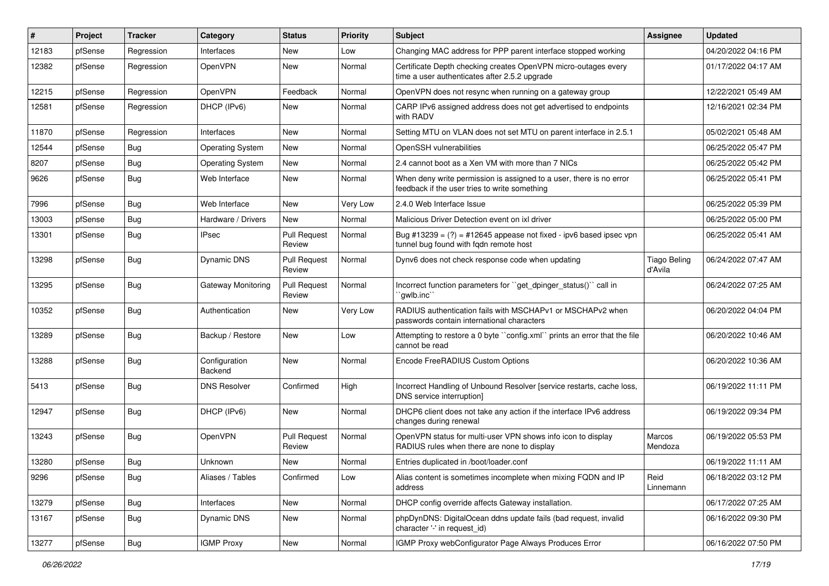| #     | Project | <b>Tracker</b> | Category                 | <b>Status</b>                 | <b>Priority</b> | Subject                                                                                                              | <b>Assignee</b>                | <b>Updated</b>      |
|-------|---------|----------------|--------------------------|-------------------------------|-----------------|----------------------------------------------------------------------------------------------------------------------|--------------------------------|---------------------|
| 12183 | pfSense | Regression     | Interfaces               | New                           | Low             | Changing MAC address for PPP parent interface stopped working                                                        |                                | 04/20/2022 04:16 PM |
| 12382 | pfSense | Regression     | OpenVPN                  | <b>New</b>                    | Normal          | Certificate Depth checking creates OpenVPN micro-outages every<br>time a user authenticates after 2.5.2 upgrade      |                                | 01/17/2022 04:17 AM |
| 12215 | pfSense | Regression     | OpenVPN                  | Feedback                      | Normal          | OpenVPN does not resync when running on a gateway group                                                              |                                | 12/22/2021 05:49 AM |
| 12581 | pfSense | Regression     | DHCP (IPv6)              | <b>New</b>                    | Normal          | CARP IPv6 assigned address does not get advertised to endpoints<br>with RADV                                         |                                | 12/16/2021 02:34 PM |
| 11870 | pfSense | Regression     | Interfaces               | <b>New</b>                    | Normal          | Setting MTU on VLAN does not set MTU on parent interface in 2.5.1                                                    |                                | 05/02/2021 05:48 AM |
| 12544 | pfSense | Bug            | <b>Operating System</b>  | <b>New</b>                    | Normal          | OpenSSH vulnerabilities                                                                                              |                                | 06/25/2022 05:47 PM |
| 8207  | pfSense | Bug            | <b>Operating System</b>  | New                           | Normal          | 2.4 cannot boot as a Xen VM with more than 7 NICs                                                                    |                                | 06/25/2022 05:42 PM |
| 9626  | pfSense | Bug            | Web Interface            | <b>New</b>                    | Normal          | When deny write permission is assigned to a user, there is no error<br>feedback if the user tries to write something |                                | 06/25/2022 05:41 PM |
| 7996  | pfSense | Bug            | Web Interface            | <b>New</b>                    | Very Low        | 2.4.0 Web Interface Issue                                                                                            |                                | 06/25/2022 05:39 PM |
| 13003 | pfSense | <b>Bug</b>     | Hardware / Drivers       | <b>New</b>                    | Normal          | Malicious Driver Detection event on ixl driver                                                                       |                                | 06/25/2022 05:00 PM |
| 13301 | pfSense | Bug            | <b>IPsec</b>             | <b>Pull Request</b><br>Review | Normal          | Bug #13239 = $(?)$ = #12645 appease not fixed - ipv6 based ipsec vpn<br>tunnel bug found with fqdn remote host       |                                | 06/25/2022 05:41 AM |
| 13298 | pfSense | <b>Bug</b>     | <b>Dynamic DNS</b>       | <b>Pull Request</b><br>Review | Normal          | Dynv6 does not check response code when updating                                                                     | <b>Tiago Beling</b><br>d'Avila | 06/24/2022 07:47 AM |
| 13295 | pfSense | Bug            | Gateway Monitoring       | <b>Pull Request</b><br>Review | Normal          | Incorrect function parameters for "get_dpinger_status()" call in<br>`qwlb.inc``                                      |                                | 06/24/2022 07:25 AM |
| 10352 | pfSense | <b>Bug</b>     | Authentication           | <b>New</b>                    | Very Low        | RADIUS authentication fails with MSCHAPv1 or MSCHAPv2 when<br>passwords contain international characters             |                                | 06/20/2022 04:04 PM |
| 13289 | pfSense | <b>Bug</b>     | Backup / Restore         | <b>New</b>                    | Low             | Attempting to restore a 0 byte "config.xml" prints an error that the file<br>cannot be read                          |                                | 06/20/2022 10:46 AM |
| 13288 | pfSense | Bug            | Configuration<br>Backend | New                           | Normal          | Encode FreeRADIUS Custom Options                                                                                     |                                | 06/20/2022 10:36 AM |
| 5413  | pfSense | Bug            | <b>DNS Resolver</b>      | Confirmed                     | High            | Incorrect Handling of Unbound Resolver [service restarts, cache loss,<br>DNS service interruption]                   |                                | 06/19/2022 11:11 PM |
| 12947 | pfSense | <b>Bug</b>     | DHCP (IPv6)              | New                           | Normal          | DHCP6 client does not take any action if the interface IPv6 address<br>changes during renewal                        |                                | 06/19/2022 09:34 PM |
| 13243 | pfSense | <b>Bug</b>     | OpenVPN                  | <b>Pull Request</b><br>Review | Normal          | OpenVPN status for multi-user VPN shows info icon to display<br>RADIUS rules when there are none to display          | Marcos<br>Mendoza              | 06/19/2022 05:53 PM |
| 13280 | pfSense | Bug            | Unknown                  | <b>New</b>                    | Normal          | Entries duplicated in /boot/loader.conf                                                                              |                                | 06/19/2022 11:11 AM |
| 9296  | pfSense | <b>Bug</b>     | Aliases / Tables         | Confirmed                     | Low             | Alias content is sometimes incomplete when mixing FQDN and IP<br>address                                             | Reid<br>Linnemann              | 06/18/2022 03:12 PM |
| 13279 | pfSense | Bug            | Interfaces               | New                           | Normal          | DHCP config override affects Gateway installation.                                                                   |                                | 06/17/2022 07:25 AM |
| 13167 | pfSense | <b>Bug</b>     | Dynamic DNS              | New                           | Normal          | phpDynDNS: DigitalOcean ddns update fails (bad request, invalid<br>character '-' in request_id)                      |                                | 06/16/2022 09:30 PM |
| 13277 | pfSense | <b>Bug</b>     | <b>IGMP Proxy</b>        | New                           | Normal          | IGMP Proxy webConfigurator Page Always Produces Error                                                                |                                | 06/16/2022 07:50 PM |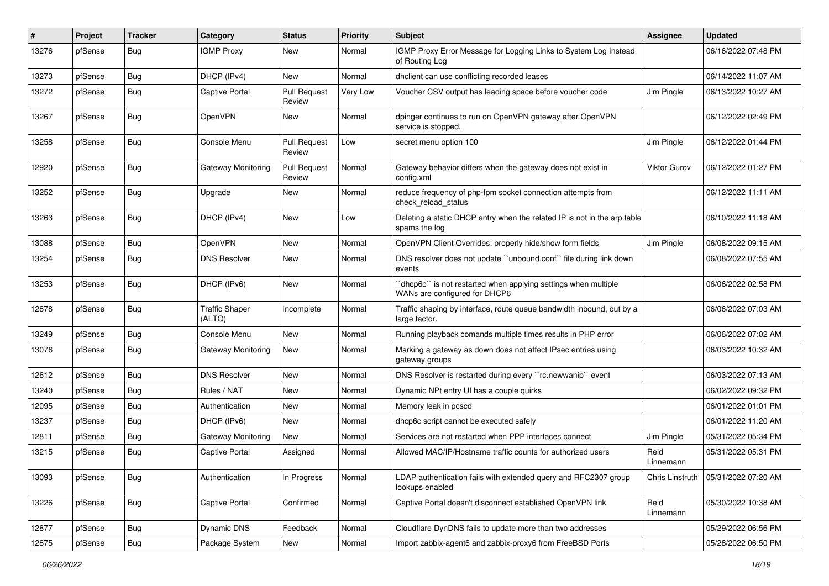| $\#$  | Project | <b>Tracker</b> | Category                        | <b>Status</b>                 | <b>Priority</b> | <b>Subject</b>                                                                                   | <b>Assignee</b>     | <b>Updated</b>      |
|-------|---------|----------------|---------------------------------|-------------------------------|-----------------|--------------------------------------------------------------------------------------------------|---------------------|---------------------|
| 13276 | pfSense | Bug            | <b>IGMP Proxy</b>               | New                           | Normal          | IGMP Proxy Error Message for Logging Links to System Log Instead<br>of Routing Log               |                     | 06/16/2022 07:48 PM |
| 13273 | pfSense | Bug            | DHCP (IPv4)                     | New                           | Normal          | dhclient can use conflicting recorded leases                                                     |                     | 06/14/2022 11:07 AM |
| 13272 | pfSense | Bug            | <b>Captive Portal</b>           | <b>Pull Request</b><br>Review | Very Low        | Voucher CSV output has leading space before voucher code                                         | Jim Pingle          | 06/13/2022 10:27 AM |
| 13267 | pfSense | Bug            | OpenVPN                         | New                           | Normal          | dpinger continues to run on OpenVPN gateway after OpenVPN<br>service is stopped.                 |                     | 06/12/2022 02:49 PM |
| 13258 | pfSense | Bug            | Console Menu                    | <b>Pull Request</b><br>Review | Low             | secret menu option 100                                                                           | Jim Pingle          | 06/12/2022 01:44 PM |
| 12920 | pfSense | Bug            | Gateway Monitoring              | <b>Pull Request</b><br>Review | Normal          | Gateway behavior differs when the gateway does not exist in<br>config.xml                        | <b>Viktor Gurov</b> | 06/12/2022 01:27 PM |
| 13252 | pfSense | Bug            | Upgrade                         | New                           | Normal          | reduce frequency of php-fpm socket connection attempts from<br>check_reload_status               |                     | 06/12/2022 11:11 AM |
| 13263 | pfSense | <b>Bug</b>     | DHCP (IPv4)                     | New                           | Low             | Deleting a static DHCP entry when the related IP is not in the arp table<br>spams the log        |                     | 06/10/2022 11:18 AM |
| 13088 | pfSense | <b>Bug</b>     | <b>OpenVPN</b>                  | New                           | Normal          | OpenVPN Client Overrides: properly hide/show form fields                                         | Jim Pingle          | 06/08/2022 09:15 AM |
| 13254 | pfSense | Bug            | <b>DNS Resolver</b>             | New                           | Normal          | DNS resolver does not update "unbound.conf" file during link down<br>events                      |                     | 06/08/2022 07:55 AM |
| 13253 | pfSense | Bug            | DHCP (IPv6)                     | New                           | Normal          | 'dhcp6c'' is not restarted when applying settings when multiple<br>WANs are configured for DHCP6 |                     | 06/06/2022 02:58 PM |
| 12878 | pfSense | <b>Bug</b>     | <b>Traffic Shaper</b><br>(ALTQ) | Incomplete                    | Normal          | Traffic shaping by interface, route queue bandwidth inbound, out by a<br>large factor.           |                     | 06/06/2022 07:03 AM |
| 13249 | pfSense | Bug            | Console Menu                    | New                           | Normal          | Running playback comands multiple times results in PHP error                                     |                     | 06/06/2022 07:02 AM |
| 13076 | pfSense | <b>Bug</b>     | Gateway Monitoring              | New                           | Normal          | Marking a gateway as down does not affect IPsec entries using<br>gateway groups                  |                     | 06/03/2022 10:32 AM |
| 12612 | pfSense | <b>Bug</b>     | <b>DNS Resolver</b>             | <b>New</b>                    | Normal          | DNS Resolver is restarted during every "rc.newwanip" event                                       |                     | 06/03/2022 07:13 AM |
| 13240 | pfSense | <b>Bug</b>     | Rules / NAT                     | New                           | Normal          | Dynamic NPt entry UI has a couple quirks                                                         |                     | 06/02/2022 09:32 PM |
| 12095 | pfSense | <b>Bug</b>     | Authentication                  | New                           | Normal          | Memory leak in pcscd                                                                             |                     | 06/01/2022 01:01 PM |
| 13237 | pfSense | Bug            | DHCP (IPv6)                     | New                           | Normal          | dhcp6c script cannot be executed safely                                                          |                     | 06/01/2022 11:20 AM |
| 12811 | pfSense | Bug            | Gateway Monitoring              | New                           | Normal          | Services are not restarted when PPP interfaces connect                                           | Jim Pingle          | 05/31/2022 05:34 PM |
| 13215 | pfSense | Bug            | <b>Captive Portal</b>           | Assigned                      | Normal          | Allowed MAC/IP/Hostname traffic counts for authorized users                                      | Reid<br>Linnemann   | 05/31/2022 05:31 PM |
| 13093 | pfSense | Bug            | Authentication                  | In Progress                   | Normal          | LDAP authentication fails with extended query and RFC2307 group<br>lookups enabled               | Chris Linstruth     | 05/31/2022 07:20 AM |
| 13226 | pfSense | <b>Bug</b>     | Captive Portal                  | Confirmed                     | Normal          | Captive Portal doesn't disconnect established OpenVPN link                                       | Reid<br>Linnemann   | 05/30/2022 10:38 AM |
| 12877 | pfSense | <b>Bug</b>     | Dynamic DNS                     | Feedback                      | Normal          | Cloudflare DynDNS fails to update more than two addresses                                        |                     | 05/29/2022 06:56 PM |
| 12875 | pfSense | Bug            | Package System                  | New                           | Normal          | Import zabbix-agent6 and zabbix-proxy6 from FreeBSD Ports                                        |                     | 05/28/2022 06:50 PM |